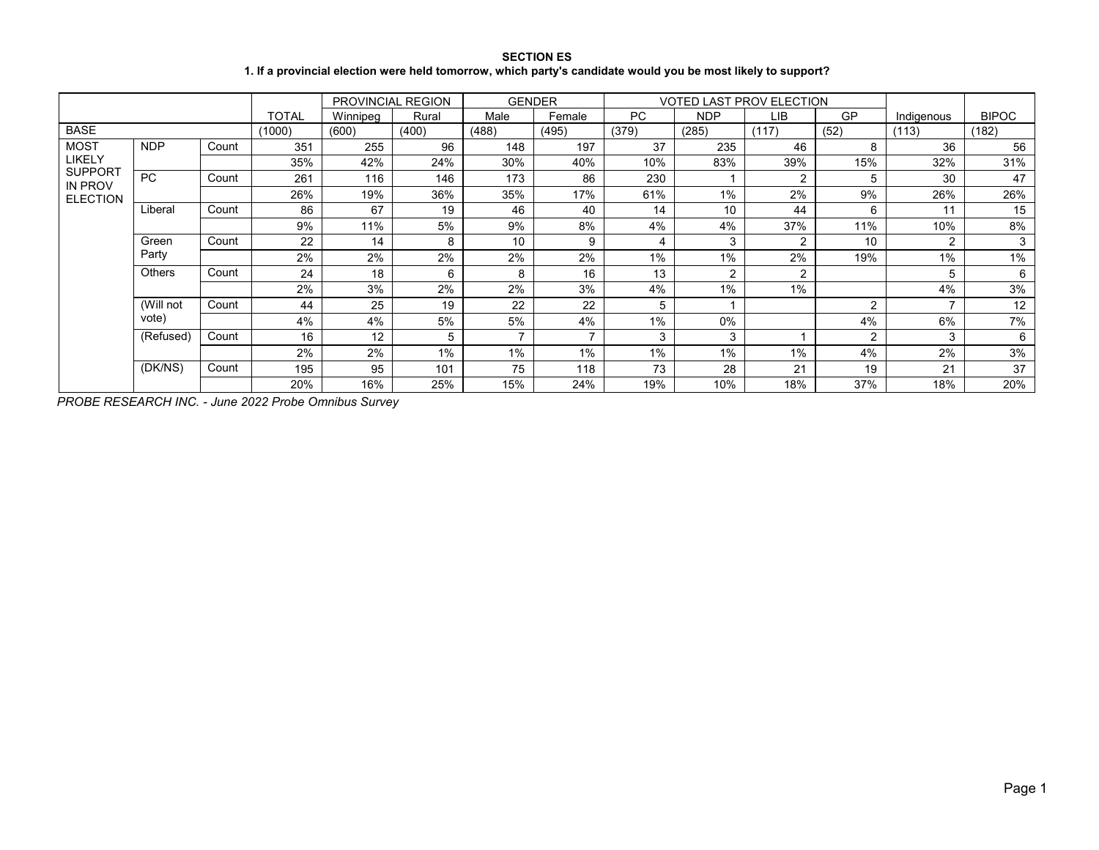# **SECTION ES 1. If a provincial election were held tomorrow, which party's candidate would you be most likely to support?**

|                           |            |       |              |          | PROVINCIAL REGION | <b>GENDER</b> |        |       |            | <b>VOTED LAST PROV ELECTION</b> |                |                |              |
|---------------------------|------------|-------|--------------|----------|-------------------|---------------|--------|-------|------------|---------------------------------|----------------|----------------|--------------|
|                           |            |       | <b>TOTAL</b> | Winnipeg | Rural             | Male          | Female | PC.   | <b>NDP</b> | LIB.                            | GP             | Indigenous     | <b>BIPOC</b> |
| <b>BASE</b>               |            |       | (1000)       | (600)    | (400)             | (488)         | (495)  | (379) | (285)      | (117)                           | (52)           | (113)          | (182)        |
| <b>MOST</b>               | <b>NDP</b> | Count | 351          | 255      | 96                | 148           | 197    | 37    | 235        | 46                              | 8              | 36             | 56           |
| LIKELY                    |            |       | 35%          | 42%      | 24%               | 30%           | 40%    | 10%   | 83%        | 39%                             | 15%            | 32%            | 31%          |
| <b>SUPPORT</b><br>IN PROV | <b>PC</b>  | Count | 261          | 116      | 146               | 173           | 86     | 230   |            | $\overline{c}$                  | 5              | 30             | 47           |
| <b>ELECTION</b>           |            |       | 26%          | 19%      | 36%               | 35%           | 17%    | 61%   | 1%         | 2%                              | 9%             | 26%            | 26%          |
|                           | Liberal    | Count | 86           | 67       | 19                | 46            | 40     | 14    | 10         | 44                              | 6              | 11             | 15           |
|                           |            |       | 9%           | 11%      | 5%                | 9%            | 8%     | 4%    | 4%         | 37%                             | 11%            | 10%            | 8%           |
|                           | Green      | Count | 22           | 14       | 8                 | 10            | 9      | 4     | 3          | $\overline{c}$                  | 10             | $\overline{2}$ | 3            |
|                           | Party      |       | 2%           | 2%       | 2%                | 2%            | 2%     | 1%    | 1%         | 2%                              | 19%            | 1%             | $1\%$        |
|                           | Others     | Count | 24           | 18       | 6                 | 8             | 16     | 13    | 2          | 2                               |                | 5              | 6            |
|                           |            |       | 2%           | 3%       | 2%                | 2%            | 3%     | 4%    | 1%         | 1%                              |                | 4%             | 3%           |
|                           | (Will not  | Count | 44           | 25       | 19                | 22            | 22     | 5     |            |                                 | $\overline{2}$ | $\overline{ }$ | 12           |
|                           | vote)      |       | 4%           | 4%       | 5%                | 5%            | 4%     | 1%    | 0%         |                                 | 4%             | 6%             | 7%           |
|                           | (Refused)  | Count | 16           | 12       | 5                 |               |        | 3     | 3          |                                 | $\overline{2}$ | 3              | 6            |
|                           |            |       | 2%           | 2%       | 1%                | 1%            | 1%     | $1\%$ | 1%         | $1\%$                           | 4%             | 2%             | 3%           |
|                           | (DK/NS)    | Count | 195          | 95       | 101               | 75            | 118    | 73    | 28         | 21                              | 19             | 21             | 37           |
|                           |            |       | 20%          | 16%      | 25%               | 15%           | 24%    | 19%   | 10%        | 18%                             | 37%            | 18%            | 20%          |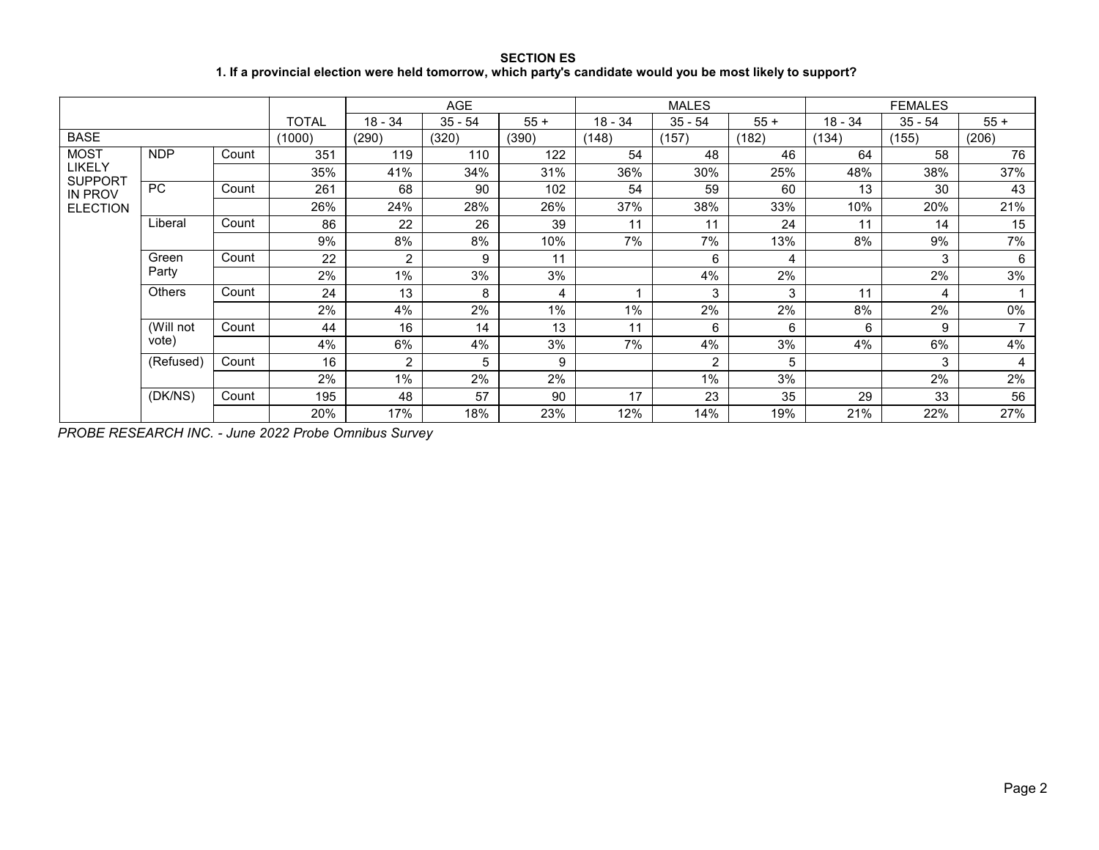**SECTION ES 1. If a provincial election were held tomorrow, which party's candidate would you be most likely to support?**

|                                  |               |       |        |                | AGE       |       |         | <b>MALES</b>   |        |           | <b>FEMALES</b> |                          |
|----------------------------------|---------------|-------|--------|----------------|-----------|-------|---------|----------------|--------|-----------|----------------|--------------------------|
|                                  |               |       | TOTAL  | 18 - 34        | $35 - 54$ | $55+$ | 18 - 34 | $35 - 54$      | $55 +$ | $18 - 34$ | $35 - 54$      | $55+$                    |
| <b>BASE</b>                      |               |       | (1000) | (290)          | (320)     | (390) | (148)   | (157)          | (182)  | (134)     | (155)          | (206)                    |
| <b>MOST</b>                      | <b>NDP</b>    | Count | 351    | 119            | 110       | 122   | 54      | 48             | 46     | 64        | 58             | 76                       |
| LIKELY                           |               |       | 35%    | 41%            | 34%       | 31%   | 36%     | 30%            | 25%    | 48%       | 38%            | 37%                      |
| <b>SUPPORT</b><br><b>IN PROV</b> | <b>PC</b>     | Count | 261    | 68             | 90        | 102   | 54      | 59             | 60     | 13        | 30             | 43                       |
| <b>ELECTION</b>                  |               |       | 26%    | 24%            | 28%       | 26%   | 37%     | 38%            | 33%    | 10%       | 20%            | 21%                      |
|                                  | Liberal       | Count | 86     | 22             | 26        | 39    | 11      | 11             | 24     | 11        | 14             | 15                       |
|                                  |               |       | 9%     | 8%             | 8%        | 10%   | 7%      | 7%             | 13%    | 8%        | 9%             | 7%                       |
|                                  | Green         | Count | 22     | 2              | 9         | 11    |         | 6              | 4      |           | 3              | 6                        |
|                                  | Party         |       | 2%     | 1%             | 3%        | 3%    |         | 4%             | 2%     |           | 2%             | 3%                       |
|                                  | <b>Others</b> | Count | 24     | 13             | 8         | 4     |         | 3              | 3      | 11        | 4              |                          |
|                                  |               |       | 2%     | 4%             | 2%        | 1%    | $1\%$   | 2%             | 2%     | 8%        | 2%             | 0%                       |
|                                  | (Will not     | Count | 44     | 16             | 14        | 13    | 11      | 6              | 6      | 6         | 9              | $\overline{\phantom{a}}$ |
|                                  | vote)         |       | 4%     | 6%             | 4%        | 3%    | 7%      | 4%             | 3%     | 4%        | 6%             | 4%                       |
|                                  | (Refused)     | Count | 16     | $\overline{2}$ | 5         | 9     |         | $\overline{2}$ | 5      |           | 3              | $\overline{4}$           |
|                                  |               |       | 2%     | 1%             | 2%        | 2%    |         | $1\%$          | 3%     |           | 2%             | 2%                       |
|                                  | (DK/NS)       | Count | 195    | 48             | 57        | 90    | 17      | 23             | 35     | 29        | 33             | 56                       |
|                                  |               |       | 20%    | 17%            | 18%       | 23%   | 12%     | 14%            | 19%    | 21%       | 22%            | 27%                      |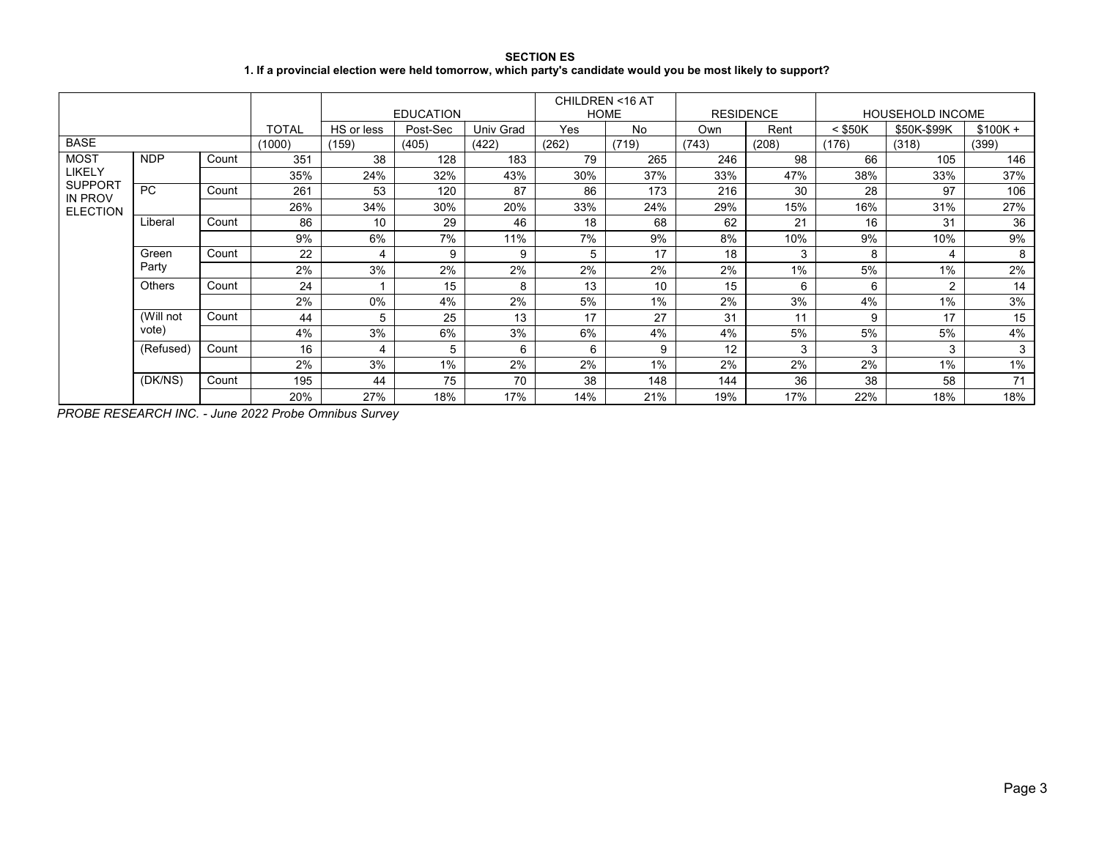**SECTION ES 1. If a provincial election were held tomorrow, which party's candidate would you be most likely to support?**

|                           |               |       |              |            | <b>EDUCATION</b> |           | CHILDREN <16 AT<br><b>HOME</b> |       | <b>RESIDENCE</b> |       |           | <b>HOUSEHOLD INCOME</b> |           |
|---------------------------|---------------|-------|--------------|------------|------------------|-----------|--------------------------------|-------|------------------|-------|-----------|-------------------------|-----------|
|                           |               |       | <b>TOTAL</b> | HS or less | Post-Sec         | Univ Grad | Yes                            | No    | Own              | Rent  | $<$ \$50K | \$50K-\$99K             | $$100K +$ |
| <b>BASE</b>               |               |       | (1000)       | (159)      | (405)            | (422)     | (262)                          | (719) | (743)            | (208) | (176)     | (318)                   | (399)     |
| <b>MOST</b>               | <b>NDP</b>    | Count | 351          | 38         | 128              | 183       | 79                             | 265   | 246              | 98    | 66        | 105                     | 146       |
| LIKELY                    |               |       | 35%          | 24%        | 32%              | 43%       | 30%                            | 37%   | 33%              | 47%   | 38%       | 33%                     | 37%       |
| <b>SUPPORT</b><br>IN PROV | <b>PC</b>     | Count | 261          | 53         | 120              | 87        | 86                             | 173   | 216              | 30    | 28        | 97                      | 106       |
| <b>ELECTION</b>           |               |       | 26%          | 34%        | 30%              | 20%       | 33%                            | 24%   | 29%              | 15%   | 16%       | 31%                     | 27%       |
|                           | Liberal       | Count | 86           | 10         | 29               | 46        | 18                             | 68    | 62               | 21    | 16        | 31                      | 36        |
|                           |               |       | 9%           | 6%         | 7%               | 11%       | 7%                             | 9%    | 8%               | 10%   | 9%        | 10%                     | 9%        |
|                           | Green         | Count | 22           | 4          | 9                | 9         | 5                              | 17    | 18               | 3     | 8         | 4                       | 8         |
|                           | Party         |       | 2%           | 3%         | 2%               | 2%        | 2%                             | 2%    | 2%               | 1%    | 5%        | 1%                      | 2%        |
|                           | <b>Others</b> | Count | 24           |            | 15               | 8         | 13                             | 10    | 15               | 6     | 6         | $\overline{2}$          | 14        |
|                           |               |       | 2%           | 0%         | 4%               | 2%        | 5%                             | $1\%$ | 2%               | 3%    | 4%        | 1%                      | 3%        |
|                           | (Will not     | Count | 44           | 5          | 25               | 13        | 17                             | 27    | 31               | 11    | 9         | 17                      | 15        |
|                           | vote)         |       | 4%           | 3%         | 6%               | 3%        | 6%                             | 4%    | 4%               | 5%    | 5%        | 5%                      | 4%        |
|                           | (Refused)     | Count | 16           |            | 5                | 6         | 6                              | 9     | 12               | 3     | 3         | 3                       | 3         |
|                           |               |       | 2%           | 3%         | 1%               | 2%        | 2%                             | $1\%$ | 2%               | 2%    | 2%        | 1%                      | 1%        |
|                           | (DK/NS)       | Count | 195          | 44         | 75               | 70        | 38                             | 148   | 144              | 36    | 38        | 58                      | 71        |
|                           |               |       | 20%          | 27%        | 18%              | 17%       | 14%                            | 21%   | 19%              | 17%   | 22%       | 18%                     | 18%       |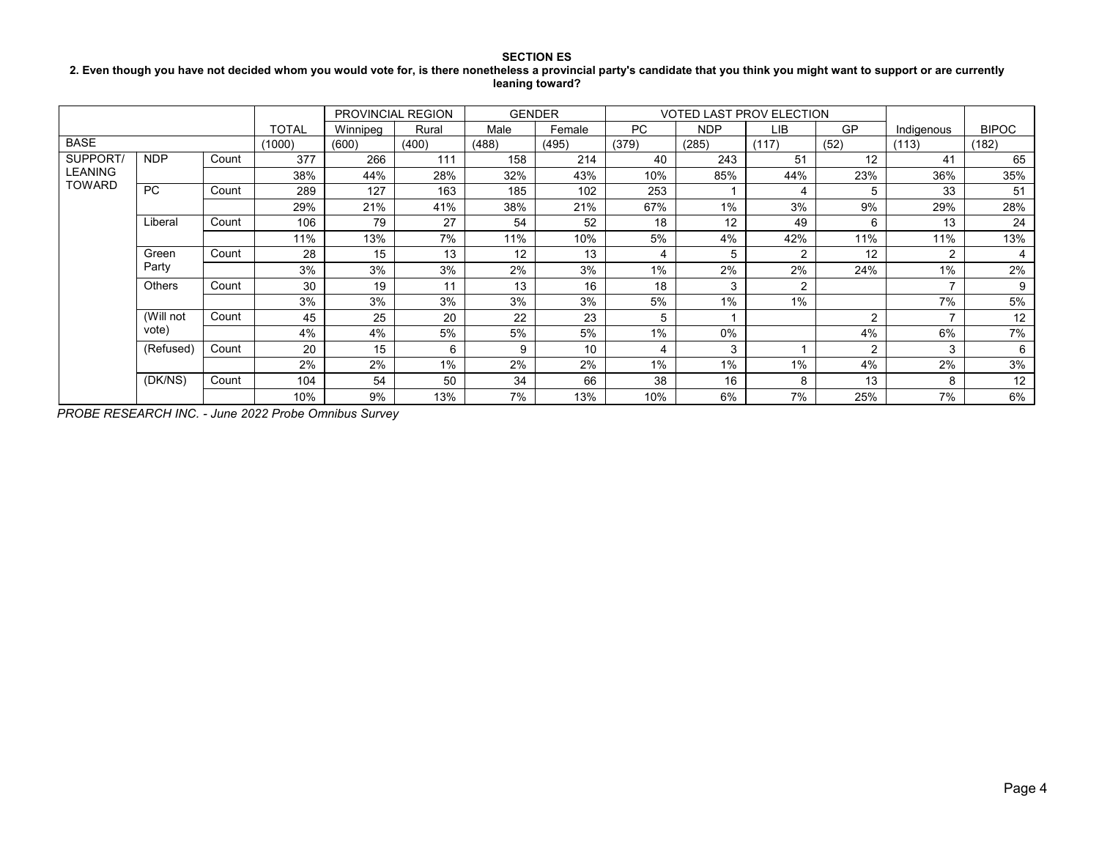### **2. Even though you have not decided whom you would vote for, is there nonetheless a provincial party's candidate that you think you might want to support or are currently leaning toward?**

|                |               |       |              | <b>PROVINCIAL REGION</b> |       |       | <b>GENDER</b> |           | <b>VOTED LAST PROV ELECTION</b> |                |                |                          |              |
|----------------|---------------|-------|--------------|--------------------------|-------|-------|---------------|-----------|---------------------------------|----------------|----------------|--------------------------|--------------|
|                |               |       | <b>TOTAL</b> | Winnipeg                 | Rural | Male  | Female        | <b>PC</b> | <b>NDP</b>                      | LІB            | GP             | Indigenous               | <b>BIPOC</b> |
| <b>BASE</b>    |               |       | (1000)       | (600)                    | (400) | (488) | (495)         | (379)     | (285)                           | (117)          | (52)           | (113)                    | (182)        |
| SUPPORT.       | <b>NDP</b>    | Count | 377          | 266                      | 111   | 158   | 214           | 40        | 243                             | 51             | 12             | 41                       | 65           |
| <b>LEANING</b> |               |       | 38%          | 44%                      | 28%   | 32%   | 43%           | 10%       | 85%                             | 44%            | 23%            | 36%                      | 35%          |
| <b>TOWARD</b>  | <b>PC</b>     | Count | 289          | 127                      | 163   | 185   | 102           | 253       |                                 | 4              | 5              | 33                       | 51           |
|                |               |       | 29%          | 21%                      | 41%   | 38%   | 21%           | 67%       | $1\%$                           | 3%             | 9%             | 29%                      | 28%          |
|                | Liberal       | Count | 106          | 79                       | 27    | 54    | 52            | 18        | 12                              | 49             | 6              | 13                       | 24           |
|                |               |       | 11%          | 13%                      | 7%    | 11%   | 10%           | 5%        | 4%                              | 42%            | 11%            | 11%                      | 13%          |
|                | Green         | Count | 28           | 15                       | 13    | 12    | 13            | 4         | 5                               | 2              | 12             | 2                        | 4            |
|                | Party         |       | 3%           | 3%                       | 3%    | 2%    | 3%            | $1\%$     | 2%                              | 2%             | 24%            | 1%                       | 2%           |
|                | <b>Others</b> | Count | 30           | 19                       | 11    | 13    | 16            | 18        | 3                               | $\overline{2}$ |                | $\overline{\phantom{0}}$ | 9            |
|                |               |       | 3%           | 3%                       | 3%    | 3%    | 3%            | 5%        | 1%                              | $1\%$          |                | 7%                       | 5%           |
|                | (Will not     | Count | 45           | 25                       | 20    | 22    | 23            | 5         |                                 |                | $\overline{2}$ | $\overline{\phantom{0}}$ | 12           |
|                | vote)         |       | 4%           | 4%                       | 5%    | 5%    | 5%            | $1\%$     | 0%                              |                | 4%             | 6%                       | 7%           |
|                | (Refused)     | Count | 20           | 15                       | 6     | 9     | 10            | 4         | 3                               |                | $\mathfrak{p}$ | 3                        | 6            |
|                |               |       | 2%           | 2%                       | 1%    | 2%    | 2%            | $1\%$     | $1\%$                           | $1\%$          | 4%             | 2%                       | 3%           |
|                | (DK/NS)       | Count | 104          | 54                       | 50    | 34    | 66            | 38        | 16                              | 8              | 13             | 8                        | 12           |
|                |               |       | 10%          | 9%                       | 13%   | 7%    | 13%           | 10%       | 6%                              | 7%             | 25%            | 7%                       | 6%           |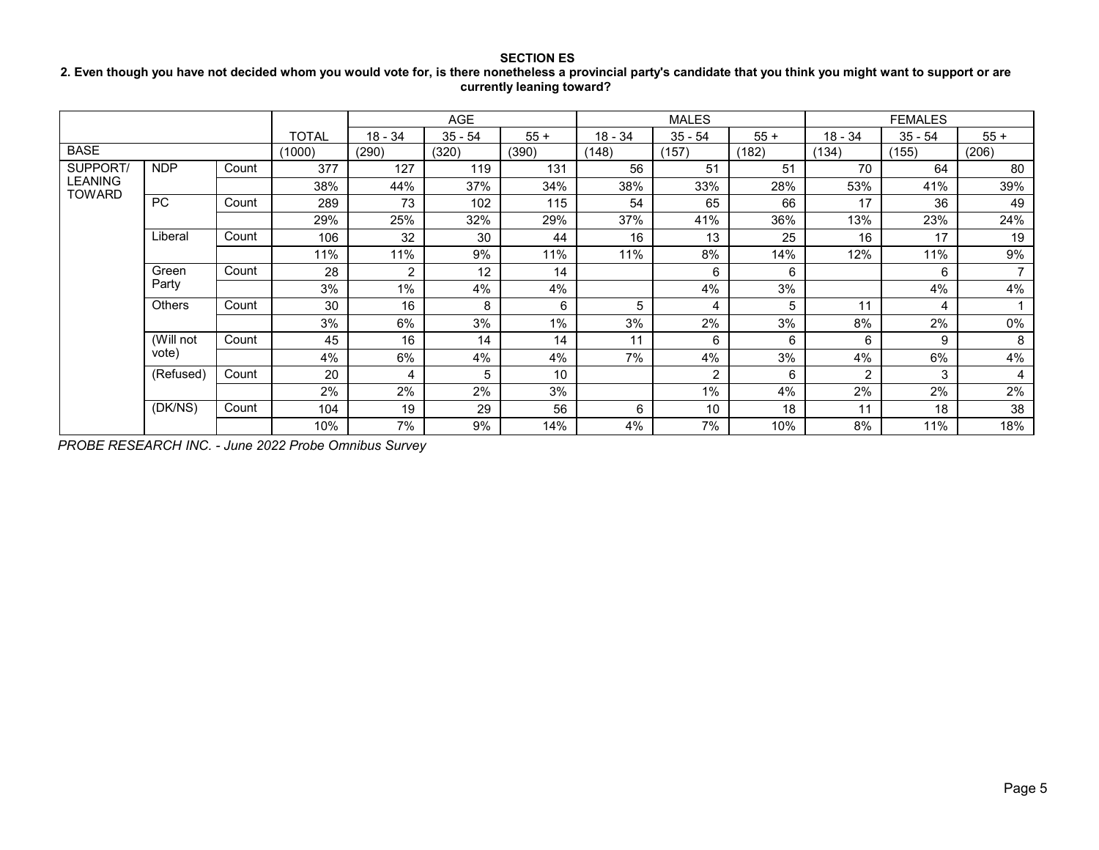# **2. Even though you have not decided whom you would vote for, is there nonetheless a provincial party's candidate that you think you might want to support or are currently leaning toward?**

|                                 |               |       |              |                | <b>AGE</b> |       |           | <b>MALES</b>   |       |           | <b>FEMALES</b> |                |
|---------------------------------|---------------|-------|--------------|----------------|------------|-------|-----------|----------------|-------|-----------|----------------|----------------|
|                                 |               |       | <b>TOTAL</b> | $18 - 34$      | 35 - 54    | $55+$ | $18 - 34$ | $35 - 54$      | $55+$ | $18 - 34$ | $35 - 54$      | $55+$          |
| <b>BASE</b>                     |               |       | (1000)       | (290)          | (320)      | (390) | (148)     | (157)          | (182) | (134)     | (155)          | (206)          |
| SUPPORT/                        | <b>NDP</b>    | Count | 377          | 127            | 119        | 131   | 56        | 51             | 51    | 70        | 64             | 80             |
| <b>LEANING</b><br><b>TOWARD</b> |               |       | 38%          | 44%            | 37%        | 34%   | 38%       | 33%            | 28%   | 53%       | 41%            | 39%            |
|                                 | PC            | Count | 289          | 73             | 102        | 115   | 54        | 65             | 66    | 17        | 36             | 49             |
|                                 |               |       | 29%          | 25%            | 32%        | 29%   | 37%       | 41%            | 36%   | 13%       | 23%            | 24%            |
|                                 | Liberal       | Count | 106          | 32             | 30         | 44    | 16        | 13             | 25    | 16        | 17             | 19             |
|                                 |               |       | 11%          | 11%            | 9%         | 11%   | 11%       | 8%             | 14%   | 12%       | 11%            | 9%             |
|                                 | Green         | Count | 28           | $\overline{2}$ | 12         | 14    |           | 6              | 6     |           | 6              | $\overline{ }$ |
|                                 | Party         |       | 3%           | 1%             | 4%         | 4%    |           | 4%             | 3%    |           | 4%             | 4%             |
|                                 | <b>Others</b> | Count | 30           | 16             | 8          | 6     | 5         | 4              | 5     | 11        | 4              |                |
|                                 |               |       | 3%           | 6%             | 3%         | $1\%$ | 3%        | 2%             | 3%    | 8%        | 2%             | 0%             |
|                                 | (Will not     | Count | 45           | 16             | 14         | 14    | 11        | 6              | 6     | 6         | 9              | 8              |
|                                 | vote)         |       | 4%           | 6%             | 4%         | 4%    | 7%        | 4%             | 3%    | 4%        | 6%             | 4%             |
|                                 | (Refused)     | Count | 20           | 4              | 5          | 10    |           | $\overline{2}$ | 6     | 2         | 3              | $\overline{4}$ |
|                                 |               |       | 2%           | 2%             | 2%         | 3%    |           | $1\%$          | 4%    | 2%        | 2%             | 2%             |
|                                 | (DK/NS)       | Count | 104          | 19             | 29         | 56    | 6         | 10             | 18    | 11        | 18             | 38             |
|                                 |               |       | 10%          | 7%             | 9%         | 14%   | 4%        | 7%             | 10%   | 8%        | 11%            | 18%            |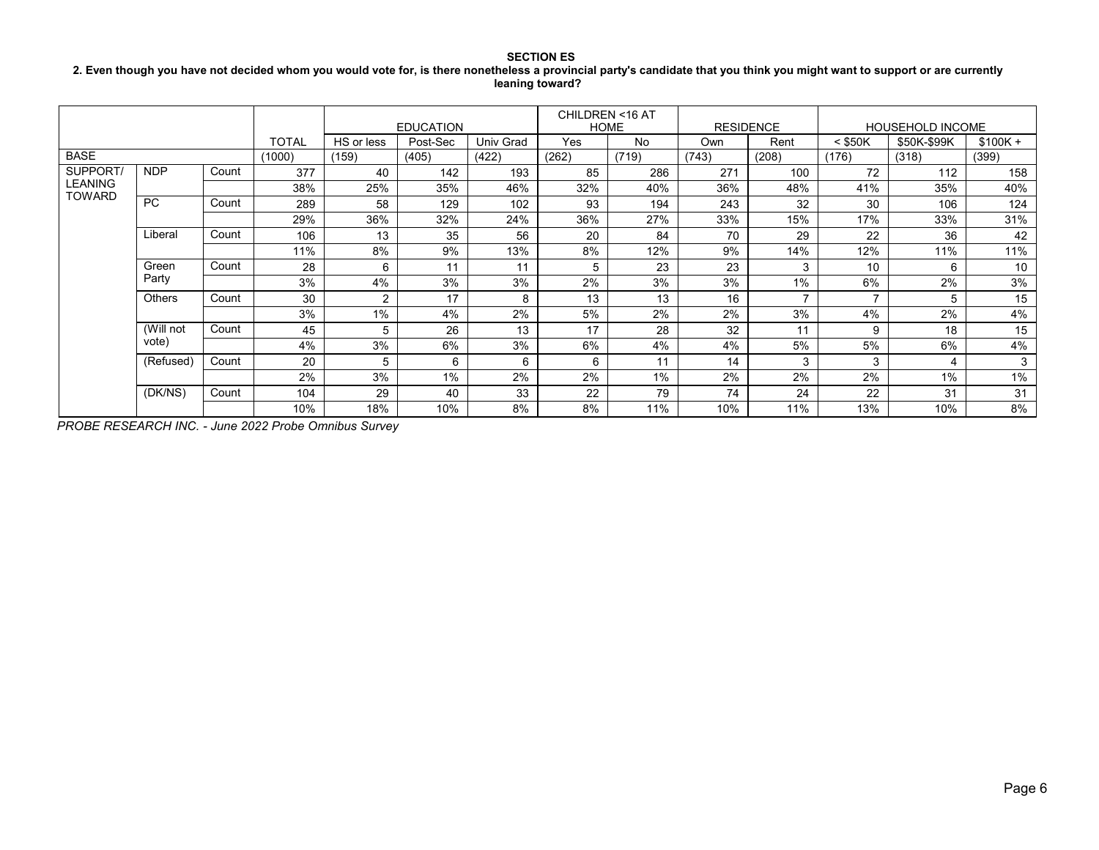### **SECTION ES 2. Even though you have not decided whom you would vote for, is there nonetheless a provincial party's candidate that you think you might want to support or are currently leaning toward?**

|                |               |       |        |            | <b>EDUCATION</b> |           | CHILDREN <16 AT | <b>HOME</b> | <b>RESIDENCE</b> |                |                | <b>HOUSEHOLD INCOME</b> |           |
|----------------|---------------|-------|--------|------------|------------------|-----------|-----------------|-------------|------------------|----------------|----------------|-------------------------|-----------|
|                |               |       | TOTAL  | HS or less | Post-Sec         | Univ Grad | Yes             | No          | Own              | Rent           | $<$ \$50K      | \$50K-\$99K             | $$100K +$ |
| <b>BASE</b>    |               |       | (1000) | (159)      | (405)            | (422)     | (262)           | (719)       | (743)            | (208)          | (176)          | (318)                   | (399)     |
| <b>SUPPORT</b> | <b>NDP</b>    | Count | 377    | 40         | 142              | 193       | 85              | 286         | 271              | 100            | 72             | 112                     | 158       |
| <b>LEANING</b> |               |       | 38%    | 25%        | 35%              | 46%       | 32%             | 40%         | 36%              | 48%            | 41%            | 35%                     | 40%       |
| TOWARD         | PC.           | Count | 289    | 58         | 129              | 102       | 93              | 194         | 243              | 32             | 30             | 106                     | 124       |
|                |               |       | 29%    | 36%        | 32%              | 24%       | 36%             | 27%         | 33%              | 15%            | 17%            | 33%                     | 31%       |
|                | Liberal       | Count | 106    | 13         | 35               | 56        | 20              | 84          | 70               | 29             | 22             | 36                      | 42        |
|                |               |       | 11%    | 8%         | 9%               | 13%       | 8%              | 12%         | 9%               | 14%            | 12%            | 11%                     | 11%       |
|                | Green         | Count | 28     | 6          | 11               | 11        | 5               | 23          | 23               | 3              | 10             | 6                       | 10        |
|                | Party         |       | 3%     | 4%         | 3%               | 3%        | 2%              | 3%          | 3%               | $1\%$          | 6%             | 2%                      | 3%        |
|                | <b>Others</b> | Count | 30     | 2          | 17               | 8         | 13              | 13          | 16               | $\overline{ }$ | $\overline{ }$ | 5                       | 15        |
|                |               |       | 3%     | 1%         | 4%               | 2%        | 5%              | 2%          | 2%               | 3%             | 4%             | 2%                      | 4%        |
|                | (Will not     | Count | 45     | 5          | 26               | 13        | 17              | 28          | 32               | 11             | 9              | 18                      | 15        |
|                | vote)         |       | 4%     | 3%         | 6%               | 3%        | 6%              | 4%          | 4%               | 5%             | 5%             | 6%                      | 4%        |
|                | (Refused)     | Count | 20     | 5          | 6                | 6         | 6               | 11          | 14               | 3              | 3              | 4                       | 3         |
|                |               |       | 2%     | 3%         | 1%               | 2%        | 2%              | 1%          | 2%               | 2%             | 2%             | $1\%$                   | $1\%$     |
|                | (DK/NS)       | Count | 104    | 29         | 40               | 33        | 22              | 79          | 74               | 24             | 22             | 31                      | 31        |
|                |               |       | 10%    | 18%        | 10%              | 8%        | 8%              | 11%         | 10%              | 11%            | 13%            | 10%                     | 8%        |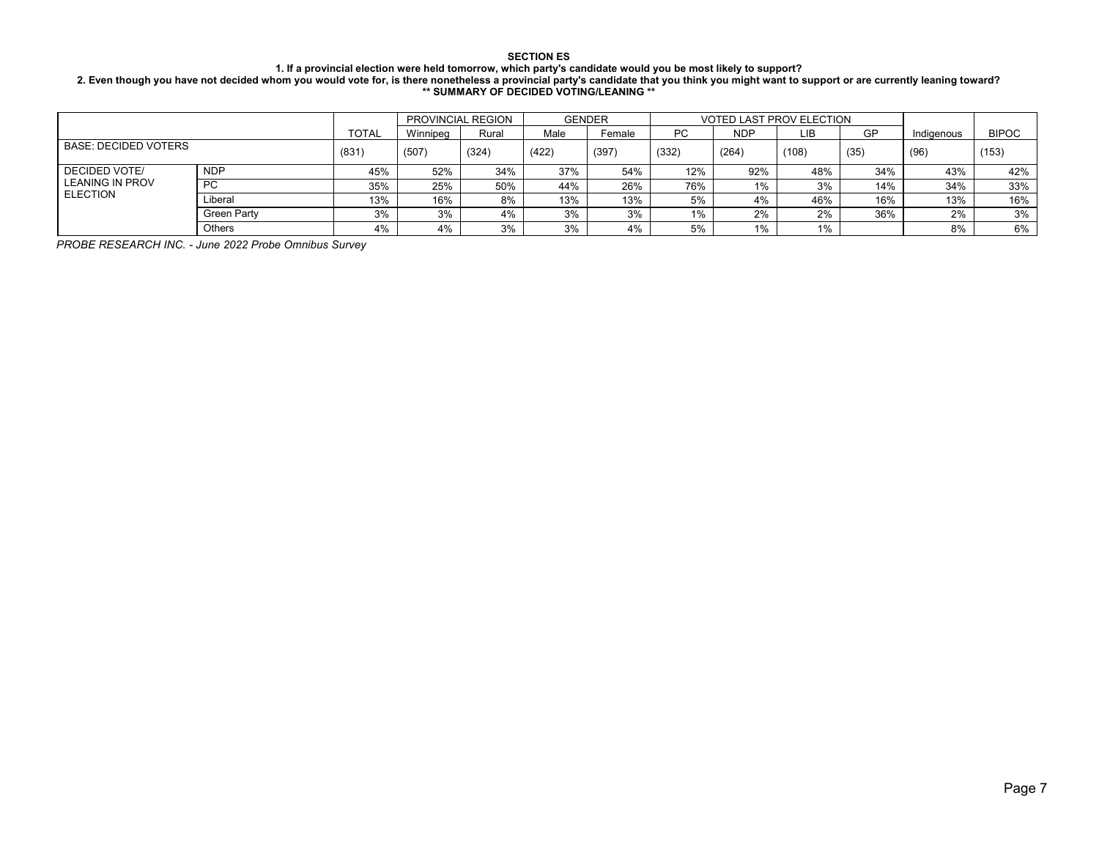#### **1. If a provincial election were held tomorrow, which party's candidate would you be most likely to support?**

**2. Even though you have not decided whom you would vote for, is there nonetheless a provincial party's candidate that you think you might want to support or are currently leaning toward? \*\* SUMMARY OF DECIDED VOTING/LEANING \*\***

|                             |                    |              |          | PROVINCIAL REGION |       | <b>GENDER</b> |           | <b>VOTED LAST PROV ELECTION</b> |       |      |            |              |
|-----------------------------|--------------------|--------------|----------|-------------------|-------|---------------|-----------|---------------------------------|-------|------|------------|--------------|
|                             |                    | <b>TOTAL</b> | Winnipea | Rural             | Male  | Female        | <b>PC</b> | <b>NDP</b>                      | LIB.  | GP   | Indiaenous | <b>BIPOC</b> |
| <b>BASE: DECIDED VOTERS</b> |                    | (831)        | (507)    | (324)             | (422) | (397)         | (332)     | (264)                           | (108) | (35) | (96)       | (153)        |
| DECIDED VOTE/               | <b>NDP</b>         | 45%          | 52%      | 34%               | 37%   | 54%           | 12%       | 92%                             | 48%   | 34%  | 43%        | 42%          |
| <b>LEANING IN PROV</b>      | <b>PC</b>          | 35%          | 25%      | 50%               | 44%   | 26%           | 76%       | 1%                              | 3%    | 14%  | 34%        | 33%          |
| <b>ELECTION</b>             | Liberal            | 13%          | 16%      | 8%                | 13%   | 13%           | 5%        | 4%                              | 46%   | 16%  | 13%        | 16%          |
|                             | <b>Green Party</b> | 3%           | 3%       | 4%                | 3%    | 3%            | 1%        | 2%                              | 2%    | 36%  | 2%         | 3%           |
|                             | <b>Others</b>      | 4%           | 4%       | 3%                | 3%    | 4%            | 5%        | 1%                              | 1%    |      | 8%         | 6%           |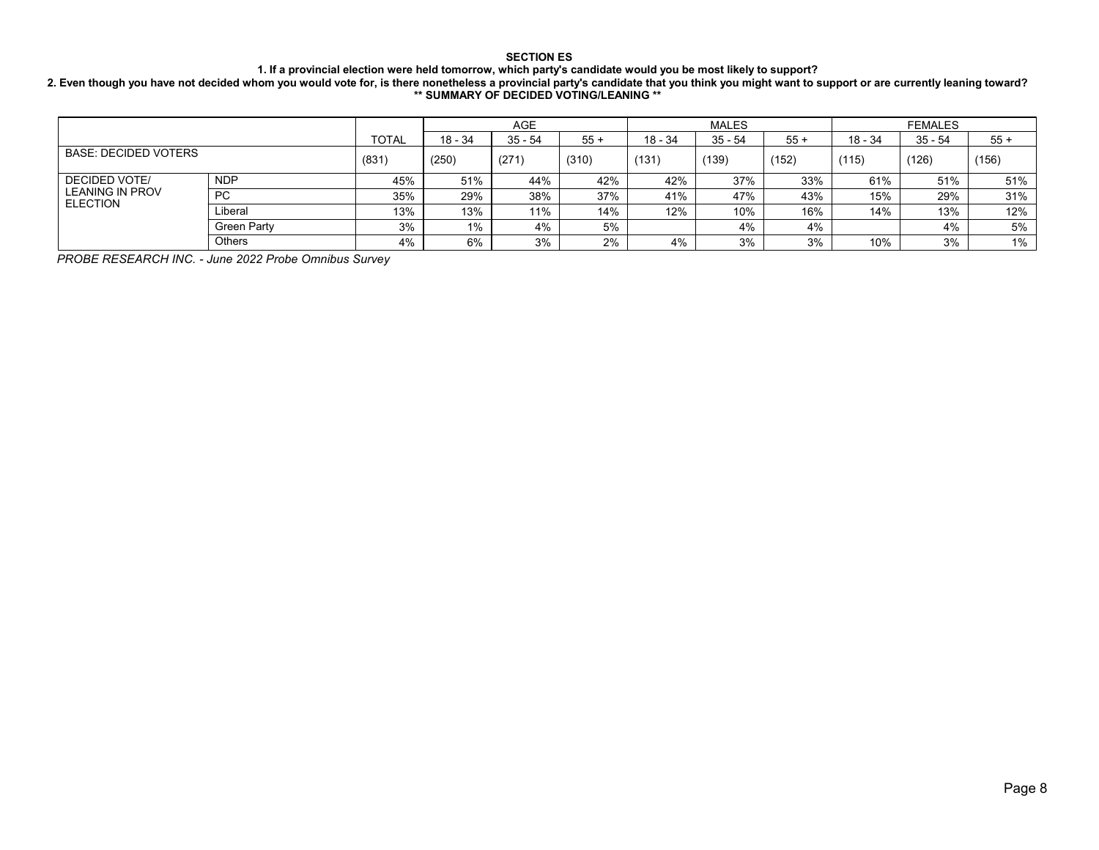**1. If a provincial election were held tomorrow, which party's candidate would you be most likely to support?**

**2. Even though you have not decided whom you would vote for, is there nonetheless a provincial party's candidate that you think you might want to support or are currently leaning toward? \*\* SUMMARY OF DECIDED VOTING/LEANING \*\***

|                                           |             |              |           | <b>AGE</b> |       |           | <b>MALES</b> |       |         | <b>FEMALES</b> |       |
|-------------------------------------------|-------------|--------------|-----------|------------|-------|-----------|--------------|-------|---------|----------------|-------|
|                                           |             | <b>TOTAL</b> | $18 - 34$ | $35 - 54$  | $55+$ | $18 - 34$ | $35 - 54$    | $55+$ | 18 - 34 | 35 - 54        | $55+$ |
| <b>BASE: DECIDED VOTERS</b>               | (831)       | (250)        | (271)     | (310)      | (131) | (139)     | (152)        | (115) | (126)   | (156)          |       |
| <b>DECIDED VOTE/</b>                      | <b>NDP</b>  | 45%          | 51%       | 44%        | 42%   | 42%       | 37%          | 33%   | 61%     | 51%            | 51%   |
| <b>LEANING IN PROV</b><br><b>ELECTION</b> | <b>PC</b>   | 35%          | 29%       | 38%        | 37%   | 41%       | 47%          | 43%   | 15%     | 29%            | 31%   |
|                                           | Liberal     | 13%          | 13%       | 11%        | 14%   | 12%       | 10%          | 16%   | 14%     | 13%            | 12%   |
|                                           | Green Party | 3%           | $1\%$     | 4%         | 5%    |           | 4%           | 4%    |         | 4%             | 5%    |
|                                           | Others      | 4%           | 6%        | 3%         | 2%    | 4%        | 3%           | 3%    | 10%     | 3%             | 1%    |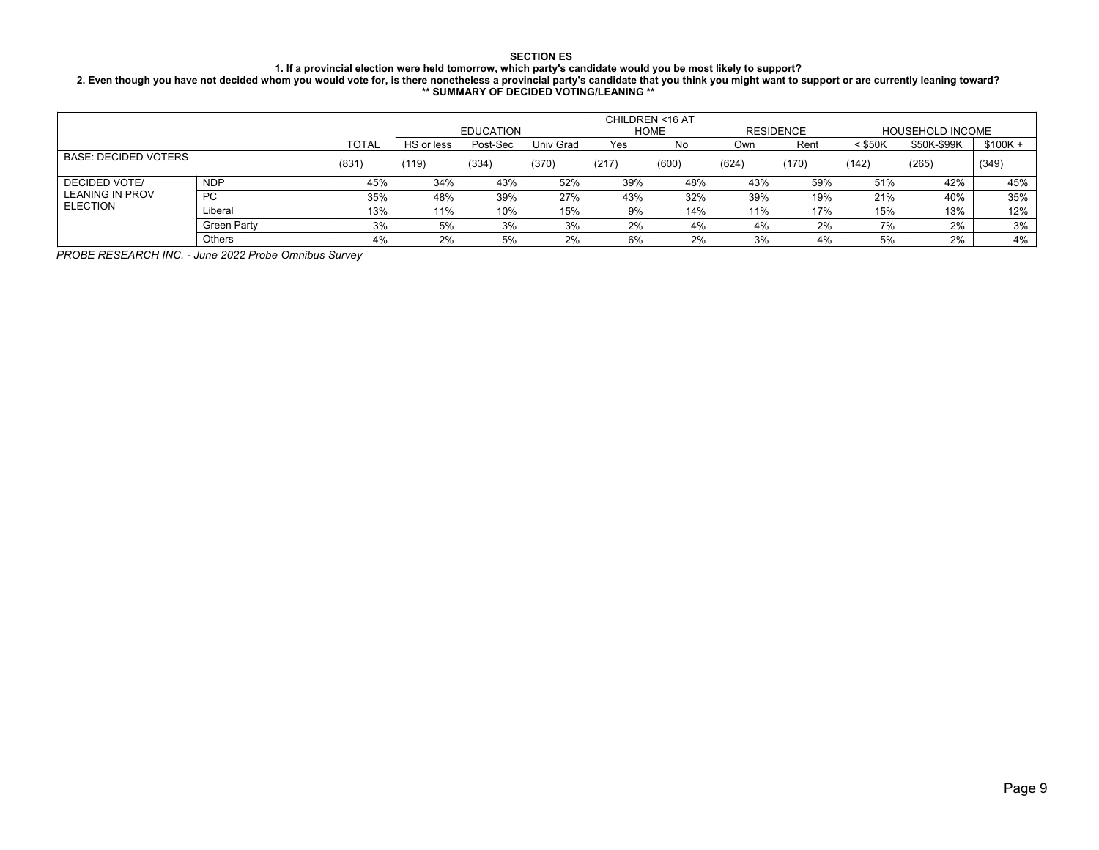#### **1. If a provincial election were held tomorrow, which party's candidate would you be most likely to support?**

**2. Even though you have not decided whom you would vote for, is there nonetheless a provincial party's candidate that you think you might want to support or are currently leaning toward? \*\* SUMMARY OF DECIDED VOTING/LEANING \*\***

|                             |               |              |            |                  |           |       | CHILDREN <16 AT |       |           |           |                         |           |
|-----------------------------|---------------|--------------|------------|------------------|-----------|-------|-----------------|-------|-----------|-----------|-------------------------|-----------|
|                             |               |              |            | <b>EDUCATION</b> |           |       | <b>HOME</b>     |       | RESIDENCE |           | <b>HOUSEHOLD INCOME</b> |           |
|                             |               | <b>TOTAL</b> | HS or less | Post-Sec         | Univ Grad | Yes   | No              | Own   | Rent      | $<$ \$50K | \$50K-\$99K             | $$100K +$ |
| <b>BASE: DECIDED VOTERS</b> |               | (831)        | (119)      | (334)            | (370)     | (217) | (600)           | (624) | (170)     | (142)     | (265)                   | (349)     |
| DECIDED VOTE/               | <b>NDP</b>    | 45%          | 34%        | 43%              | 52%       | 39%   | 48%             | 43%   | 59%       | 51%       | 42%                     | 45%       |
| LEANING IN PROV             | <b>PC</b>     | 35%          | 48%        | 39%              | 27%       | 43%   | 32%             | 39%   | 19%       | 21%       | 40%                     | 35%       |
| <b>ELECTION</b>             | Liberal       | 13%          | 11%        | 10%              | 15%       | 9%    | 14%             | 11%   | 17%       | 15%       | 13%                     | 12%       |
|                             | Green Party   | 3%           | 5%         | 3%               | 3%        | 2%    | 4%              | 4%    | 2%        | 7%        | 2%                      | 3%        |
|                             | <b>Others</b> | 4%           | 2%         | 5%               | 2%        | 6%    | 2%              | 3%    | 4%        | 5%        | 2%                      | 4%        |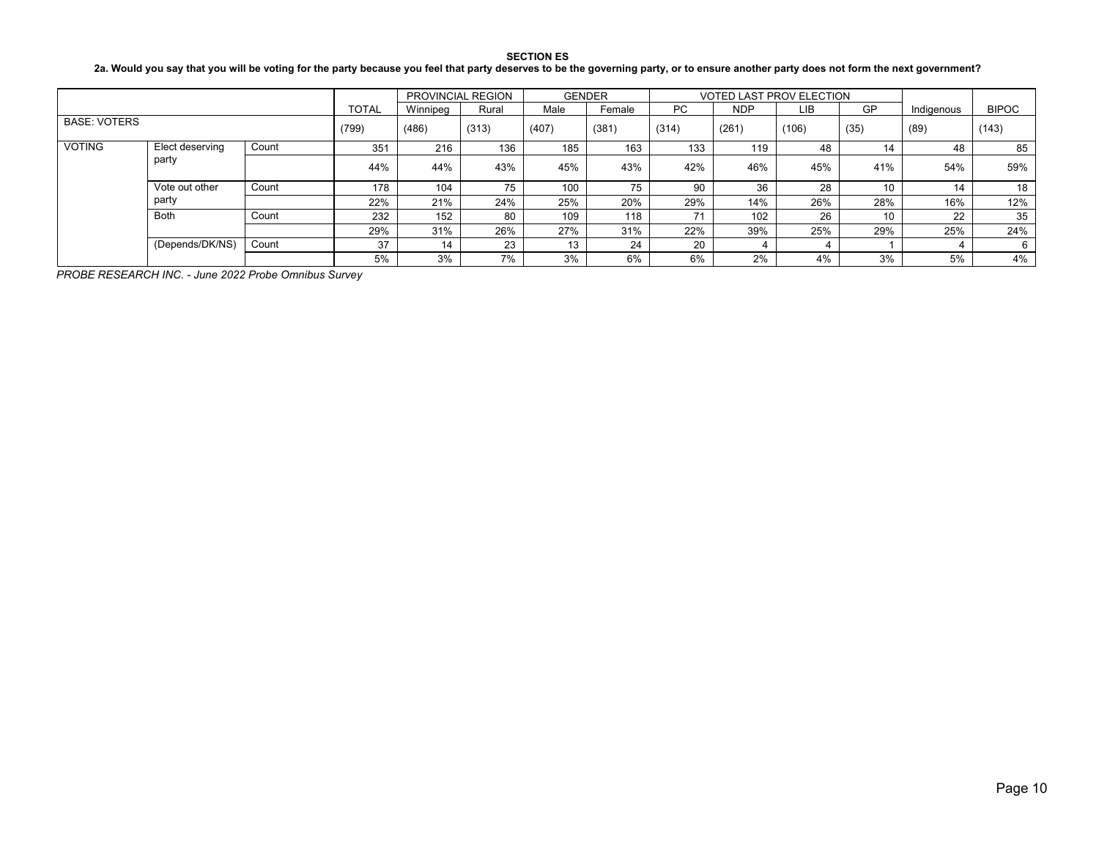**2a. Would you say that you will be voting for the party because you feel that party deserves to be the governing party, or to ensure another party does not form the next government?**

|                     |                 |       |              | PROVINCIAL REGION |       | <b>GENDER</b> |        |           | <b>VOTED LAST PROV ELECTION</b> |      |           |            |              |
|---------------------|-----------------|-------|--------------|-------------------|-------|---------------|--------|-----------|---------------------------------|------|-----------|------------|--------------|
|                     |                 |       | <b>TOTAL</b> | Winnipea          | Rural | Male          | Female | <b>PC</b> | <b>NDP</b>                      | LIB  | <b>GP</b> | Indigenous | <b>BIPOC</b> |
| <b>BASE: VOTERS</b> |                 | (799) | (486)        | (313)             | (407) | (381)         | (314)  | (261)     | (106)                           | (35) | (89)      | (143)      |              |
| <b>VOTING</b>       | Elect deserving | Count | 351          | 216               | 136   | 185           | 163    | 133       | 119                             | 48   | 14        | 48         | 85           |
| party               |                 | 44%   | 44%          | 43%               | 45%   | 43%           | 42%    | 46%       | 45%                             | 41%  | 54%       | 59%        |              |
|                     | Vote out other  | Count | 178          | 104               | 75    | 100           | 75     | 90        | 36                              | 28   | 10        | 14         | 18           |
|                     | party           |       | 22%          | 21%               | 24%   | 25%           | 20%    | 29%       | 14%                             | 26%  | 28%       | 16%        | 12%          |
|                     | Both            | Count | 232          | 152               | 80    | 109           | 118    | 71        | 102                             | 26   | 10        | 22         | 35           |
|                     |                 |       | 29%          | 31%               | 26%   | 27%           | 31%    | 22%       | 39%                             | 25%  | 29%       | 25%        | 24%          |
|                     | (Depends/DK/NS) | Count | 37           | 14                | 23    | 13            | 24     | 20        |                                 |      |           |            |              |
|                     |                 |       | 5%           | 3%                | 7%    | 3%            | 6%     | 6%        | 2%                              | 4%   | 3%        | 5%         | 4%           |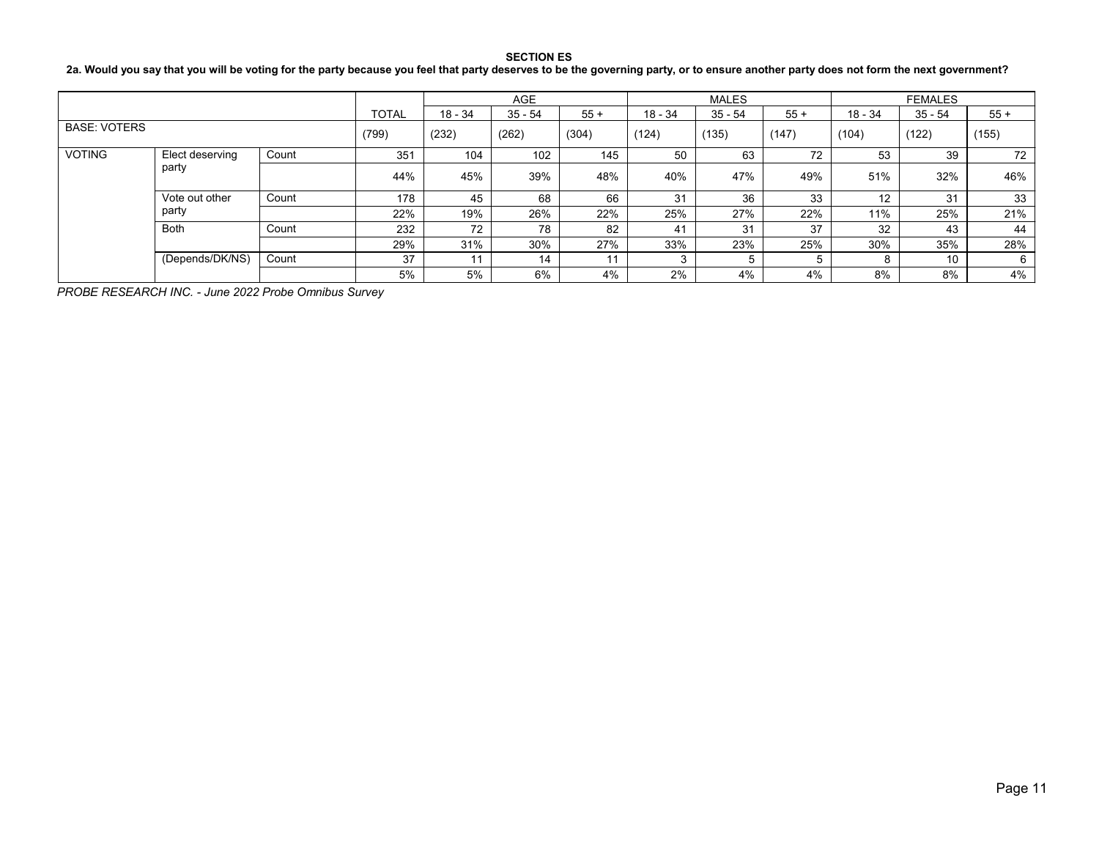# **2a. Would you say that you will be voting for the party because you feel that party deserves to be the governing party, or to ensure another party does not form the next government?**

|                     |                 |       |              |           | <b>AGE</b> |       |         | <b>MALES</b> |       |         | <b>FEMALES</b> |       |
|---------------------|-----------------|-------|--------------|-----------|------------|-------|---------|--------------|-------|---------|----------------|-------|
|                     |                 |       | <b>TOTAL</b> | $18 - 34$ | $35 - 54$  | $55+$ | 18 - 34 | $35 - 54$    | $55+$ | 18 - 34 | $35 - 54$      | $55+$ |
| <b>BASE: VOTERS</b> |                 | (799) | (232)        | (262)     | (304)      | (124) | (135)   | (147)        | (104) | (122)   | (155)          |       |
| <b>VOTING</b>       | Elect deserving | Count | 351          | 104       | 102        | 145   | 50      | 63           | 72    | 53      | 39             | 72    |
|                     | party           |       | 44%          | 45%       | 39%        | 48%   | 40%     | 47%          | 49%   | 51%     | 32%            | 46%   |
|                     | Vote out other  | Count | 178          | 45        | 68         | 66    | 31      | 36           | 33    | 12      | 31             | 33    |
|                     | party           |       | 22%          | 19%       | 26%        | 22%   | 25%     | 27%          | 22%   | 11%     | 25%            | 21%   |
|                     | <b>Both</b>     | Count | 232          | 72        | 78         | 82    | 41      | 31           | 37    | 32      | 43             | 44    |
|                     |                 |       | 29%          | 31%       | 30%        | 27%   | 33%     | 23%          | 25%   | 30%     | 35%            | 28%   |
|                     | (Depends/DK/NS) | Count | 37           | 11        | 14         | 11    |         |              | 5     | o       | 10             | 6     |
|                     |                 |       | 5%           | 5%        | 6%         | 4%    | 2%      | 4%           | 4%    | 8%      | 8%             | 4%    |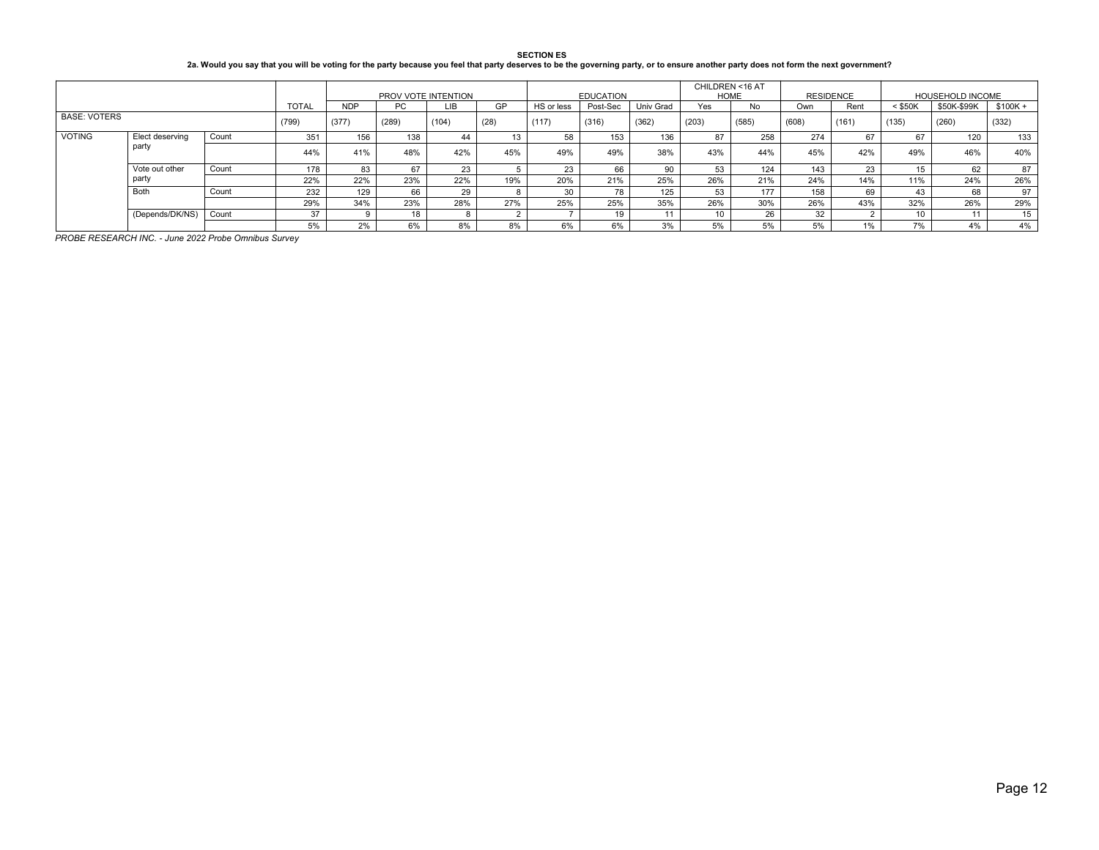| <b>SECTION ES</b>                                                                                                                                                                     |
|---------------------------------------------------------------------------------------------------------------------------------------------------------------------------------------|
| 2a. Would you say that you will be voting for the party because you feel that party deserves to be the governing party, or to ensure another party does not form the next government? |

|               |                     |       |     |            |       | PROV VOTE INTENTION |           |            | <b>EDUCATION</b> |                  | CHILDREN <16 AT<br><b>HOME</b> |       | <b>RESIDENCE</b> |       |           | <b>HOUSEHOLD INCOME</b> |           |
|---------------|---------------------|-------|-----|------------|-------|---------------------|-----------|------------|------------------|------------------|--------------------------------|-------|------------------|-------|-----------|-------------------------|-----------|
|               |                     |       |     | <b>NDP</b> | PC.   | LIB                 | <b>GP</b> | HS or less | Post-Sec         | <b>Univ Grad</b> | Yes                            | No    | Own              | Rent  | $<$ \$50K | \$50K-\$99K             | $$100K +$ |
|               | <b>BASE: VOTERS</b> |       |     | (377)      | (289) | (104)               | (28)      | (117)      | (316)            | (362)            | (203)                          | (585) | (608)            | (161) | (135)     | (260)                   | (332)     |
| <b>VOTING</b> | Elect deserving     | Count | 351 | 156        | 138   | 44                  | 13        | 58         | 153              | 136              | 87                             | 258   | 274              | 67    | 67        | 120                     | 133       |
|               | party               |       | 44% | 41%        | 48%   | 42%                 | 45%       | 49%        | 49%              | 38%              | 43%                            | 44%   | 45%              | 42%   | 49%       | 46%                     | 40%       |
|               | Vote out other      | Count | 178 | 83         | 67    | 23                  |           | 23         | 66               | 90               | 53                             | 124   | 143              | 23    | 15        | 62                      | 87        |
|               | party               |       | 22% | 22%        | 23%   | 22%                 | 19%       | 20%        | 21%              | 25%              | 26%                            | 21%   | 24%              | 14%   | 11%       | 24%                     | 26%       |
|               | Both                | Count | 232 | 129        | 66    | 29                  |           |            |                  | 125              | 53                             | 177   | 158              | 69    | 43        | 68                      | 97        |
|               |                     |       | 29% | 34%        | 23%   | 28%                 | 27%       | 25%        | 25%              | 35%              | 26%                            | 30%   | 26%              | 43%   | 32%       | 26%                     | 29%       |
|               | (Depends/DK/NS)     | Count | 37  |            | 18    |                     |           |            |                  |                  | 10                             | 26    | 32               |       | 10        | 4 <sub>4</sub>          | 15        |
|               |                     |       | 5%  | 2%         | 6%    | 8%                  | 8%        | 6%         | 6%               | 3%               | 5%                             | 5%    | 5%               | 1%    | 7%        | 4%                      | 4%        |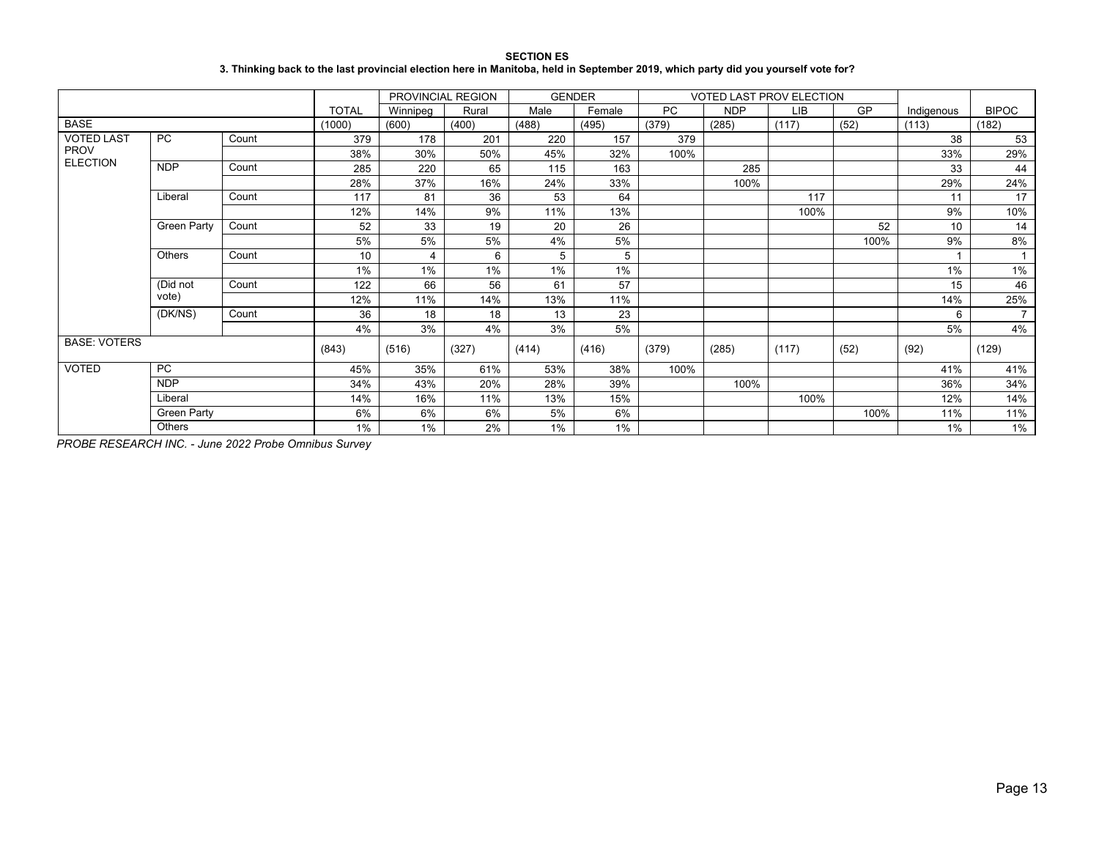#### **SECTION ES 3. Thinking back to the last provincial election here in Manitoba, held in September 2019, which party did you yourself vote for?**

|                     |                    |       |              | PROVINCIAL REGION |       | <b>GENDER</b> |        |           | VOTED LAST PROV ELECTION |            |      |            |                |
|---------------------|--------------------|-------|--------------|-------------------|-------|---------------|--------|-----------|--------------------------|------------|------|------------|----------------|
|                     |                    |       | <b>TOTAL</b> | Winnipeg          | Rural | Male          | Female | <b>PC</b> | <b>NDP</b>               | <b>LIB</b> | GP   | Indigenous | <b>BIPOC</b>   |
| <b>BASE</b>         |                    |       | (1000)       | (600)             | (400) | (488)         | (495)  | (379)     | (285)                    | (117)      | (52) | (113)      | (182)          |
| <b>VOTED LAST</b>   | PC                 | Count | 379          | 178               | 201   | 220           | 157    | 379       |                          |            |      | 38         | 53             |
| <b>PROV</b>         |                    |       | 38%          | 30%               | 50%   | 45%           | 32%    | 100%      |                          |            |      | 33%        | 29%            |
| <b>ELECTION</b>     | <b>NDP</b>         | Count | 285          | 220               | 65    | 115           | 163    |           | 285                      |            |      | 33         | 44             |
|                     |                    |       | 28%          | 37%               | 16%   | 24%           | 33%    |           | 100%                     |            |      | 29%        | 24%            |
|                     | Liberal            | Count | 117          | 81                | 36    | 53            | 64     |           |                          | 117        |      | 11         | 17             |
|                     |                    |       | 12%          | 14%               | 9%    | 11%           | 13%    |           |                          | 100%       |      | 9%         | 10%            |
|                     | <b>Green Party</b> | Count | 52           | 33                | 19    | 20            | 26     |           |                          |            | 52   | 10         | 14             |
|                     |                    |       | 5%           | 5%                | 5%    | 4%            | 5%     |           |                          |            | 100% | 9%         | 8%             |
|                     | Others             | Count | 10           | $\overline{4}$    | 6     | 5             | 5      |           |                          |            |      |            |                |
|                     |                    |       | 1%           | 1%                | 1%    | 1%            | 1%     |           |                          |            |      | 1%         | 1%             |
|                     | (Did not           | Count | 122          | 66                | 56    | 61            | 57     |           |                          |            |      | 15         | 46             |
|                     | vote)              |       | 12%          | 11%               | 14%   | 13%           | 11%    |           |                          |            |      | 14%        | 25%            |
|                     | (DK/NS)            | Count | 36           | 18                | 18    | 13            | 23     |           |                          |            |      | 6          | $\overline{7}$ |
|                     |                    |       | 4%           | 3%                | 4%    | 3%            | 5%     |           |                          |            |      | 5%         | 4%             |
| <b>BASE: VOTERS</b> |                    |       | (843)        | (516)             | (327) | (414)         | (416)  | (379)     | (285)                    | (117)      | (52) | (92)       | (129)          |
| <b>VOTED</b>        | PC                 |       | 45%          | 35%               | 61%   | 53%           | 38%    | 100%      |                          |            |      | 41%        | 41%            |
|                     | <b>NDP</b>         |       | 34%          | 43%               | 20%   | 28%           | 39%    |           | 100%                     |            |      | 36%        | 34%            |
|                     | Liberal            |       | 14%          | 16%               | 11%   | 13%           | 15%    |           |                          | 100%       |      | 12%        | 14%            |
|                     | <b>Green Party</b> |       | 6%           | 6%                | 6%    | 5%            | 6%     |           |                          |            | 100% | 11%        | 11%            |
|                     | Others             |       | 1%           | $1\%$             | 2%    | 1%            | 1%     |           |                          |            |      | 1%         | 1%             |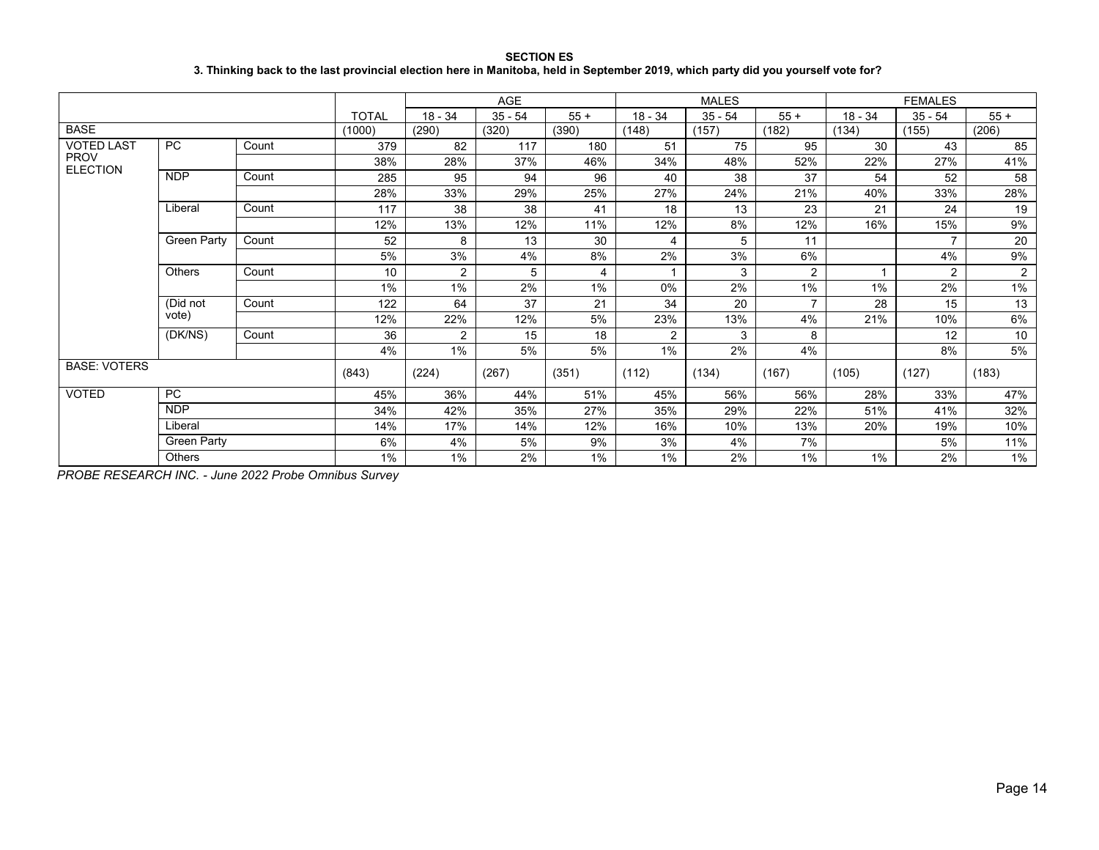**SECTION ES 3. Thinking back to the last provincial election here in Manitoba, held in September 2019, which party did you yourself vote for?**

|                                |                    |       |              |                | AGE       |       |                | <b>MALES</b> |                |           | <b>FEMALES</b> |                |
|--------------------------------|--------------------|-------|--------------|----------------|-----------|-------|----------------|--------------|----------------|-----------|----------------|----------------|
|                                |                    |       | <b>TOTAL</b> | $18 - 34$      | $35 - 54$ | $55+$ | $18 - 34$      | $35 - 54$    | $55+$          | $18 - 34$ | $35 - 54$      | $55+$          |
| <b>BASE</b>                    |                    |       | (1000)       | (290)          | (320)     | (390) | (148)          | (157)        | (182)          | (134)     | (155)          | (206)          |
| <b>VOTED LAST</b>              | <b>PC</b>          | Count | 379          | 82             | 117       | 180   | 51             | 75           | 95             | 30        | 43             | 85             |
| <b>PROV</b><br><b>ELECTION</b> |                    |       | 38%          | 28%            | 37%       | 46%   | 34%            | 48%          | 52%            | 22%       | 27%            | 41%            |
|                                | <b>NDP</b>         | Count | 285          | 95             | 94        | 96    | 40             | 38           | 37             | 54        | 52             | 58             |
|                                |                    |       | 28%          | 33%            | 29%       | 25%   | 27%            | 24%          | 21%            | 40%       | 33%            | 28%            |
|                                | Liberal            | Count | 117          | 38             | 38        | 41    | 18             | 13           | 23             | 21        | 24             | 19             |
|                                |                    |       | 12%          | 13%            | 12%       | 11%   | 12%            | 8%           | 12%            | 16%       | 15%            | 9%             |
|                                | Green Party        | Count | 52           | 8              | 13        | 30    | 4              | 5            | 11             |           | $\overline{ }$ | 20             |
|                                |                    |       | 5%           | 3%             | 4%        | 8%    | 2%             | 3%           | 6%             |           | 4%             | 9%             |
|                                | <b>Others</b>      | Count | 10           | $\overline{2}$ | 5         | 4     | 1              | 3            | $\overline{2}$ |           | 2              | $\overline{2}$ |
|                                |                    |       | 1%           | $1\%$          | 2%        | $1\%$ | 0%             | 2%           | 1%             | $1\%$     | 2%             | $1\%$          |
|                                | (Did not           | Count | 122          | 64             | 37        | 21    | 34             | 20           | $\overline{ }$ | 28        | 15             | 13             |
|                                | vote)              |       | 12%          | 22%            | 12%       | 5%    | 23%            | 13%          | 4%             | 21%       | 10%            | 6%             |
|                                | (DK/NS)            | Count | 36           | 2              | 15        | 18    | $\overline{2}$ | 3            | 8              |           | 12             | 10             |
|                                |                    |       | 4%           | $1\%$          | 5%        | 5%    | 1%             | 2%           | 4%             |           | 8%             | 5%             |
| <b>BASE: VOTERS</b>            |                    |       | (843)        | (224)          | (267)     | (351) | (112)          | (134)        | (167)          | (105)     | (127)          | (183)          |
| <b>VOTED</b>                   | PC.                |       | 45%          | 36%            | 44%       | 51%   | 45%            | 56%          | 56%            | 28%       | 33%            | 47%            |
|                                | <b>NDP</b>         |       | 34%          | 42%            | 35%       | 27%   | 35%            | 29%          | 22%            | 51%       | 41%            | 32%            |
|                                | Liberal            |       | 14%          | 17%            | 14%       | 12%   | 16%            | 10%          | 13%            | 20%       | 19%            | 10%            |
|                                | <b>Green Party</b> |       | 6%           | 4%             | 5%        | 9%    | 3%             | 4%           | 7%             |           | 5%             | 11%            |
|                                | <b>Others</b>      |       | 1%           | $1\%$          | 2%        | $1\%$ | 1%             | 2%           | 1%             | $1\%$     | 2%             | 1%             |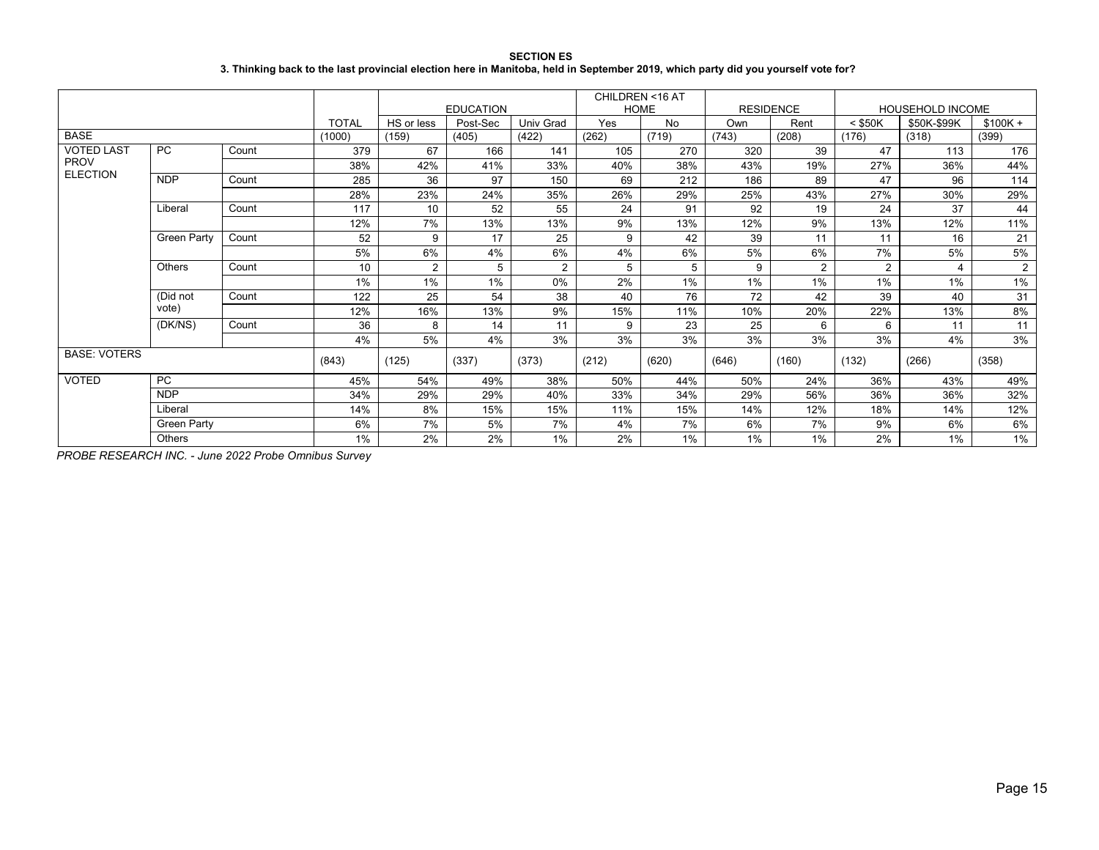| <b>SECTION ES</b>                                                                                                                 |
|-----------------------------------------------------------------------------------------------------------------------------------|
| 3. Thinking back to the last provincial election here in Manitoba, held in September 2019, which party did you yourself vote for? |

|                     |                    |       |              |            |                  |           | CHILDREN <16 AT |       |                  |                |           |                         |           |
|---------------------|--------------------|-------|--------------|------------|------------------|-----------|-----------------|-------|------------------|----------------|-----------|-------------------------|-----------|
|                     |                    |       |              |            | <b>EDUCATION</b> |           | <b>HOME</b>     |       | <b>RESIDENCE</b> |                |           | <b>HOUSEHOLD INCOME</b> |           |
|                     |                    |       | <b>TOTAL</b> | HS or less | Post-Sec         | Univ Grad | Yes             | No    | Own              | Rent           | $<$ \$50K | \$50K-\$99K             | $$100K +$ |
| <b>BASE</b>         |                    |       | (1000)       | (159)      | (405)            | (422)     | (262)           | (719) | (743)            | (208)          | (176)     | (318)                   | (399)     |
| <b>VOTED LAST</b>   | <b>PC</b>          | Count | 379          | 67         | 166              | 141       | 105             | 270   | 320              | 39             | 47        | 113                     | 176       |
| <b>PROV</b>         |                    |       | 38%          | 42%        | 41%              | 33%       | 40%             | 38%   | 43%              | 19%            | 27%       | 36%                     | 44%       |
| <b>ELECTION</b>     | <b>NDP</b>         | Count | 285          | 36         | 97               | 150       | 69              | 212   | 186              | 89             | 47        | 96                      | 114       |
|                     |                    |       | 28%          | 23%        | 24%              | 35%       | 26%             | 29%   | 25%              | 43%            | 27%       | 30%                     | 29%       |
|                     | Liberal            | Count | 117          | 10         | 52               | 55        | 24              | 91    | 92               | 19             | 24        | 37                      | 44        |
|                     |                    |       | 12%          | 7%         | 13%              | 13%       | 9%              | 13%   | 12%              | 9%             | 13%       | 12%                     | 11%       |
|                     | Green Party        | Count | 52           | 9          | 17               | 25        | 9               | 42    | 39               | 11             | 11        | 16                      | 21        |
|                     |                    |       | 5%           | 6%         | 4%               | 6%        | 4%              | 6%    | 5%               | 6%             | 7%        | 5%                      | 5%        |
|                     | Others             | Count | 10           | 2          | 5                | 2         | 5               | 5     | 9                | $\overline{2}$ | 2         | 4                       | 2         |
|                     |                    |       | 1%           | 1%         | 1%               | 0%        | 2%              | 1%    | $1\%$            | $1\%$          | 1%        | 1%                      | $1\%$     |
|                     | (Did not           | Count | 122          | 25         | 54               | 38        | 40              | 76    | 72               | 42             | 39        | 40                      | 31        |
|                     | vote)              |       | 12%          | 16%        | 13%              | 9%        | 15%             | 11%   | 10%              | 20%            | 22%       | 13%                     | 8%        |
|                     | (DK/NS)            | Count | 36           | 8          | 14               | 11        | 9               | 23    | 25               | 6              | 6         | 11                      | 11        |
|                     |                    |       | 4%           | 5%         | 4%               | 3%        | 3%              | 3%    | 3%               | 3%             | 3%        | 4%                      | 3%        |
| <b>BASE: VOTERS</b> |                    |       | (843)        | (125)      | (337)            | (373)     | (212)           | (620) | (646)            | (160)          | (132)     | (266)                   | (358)     |
| <b>VOTED</b>        | <b>PC</b>          |       | 45%          | 54%        | 49%              | 38%       | 50%             | 44%   | 50%              | 24%            | 36%       | 43%                     | 49%       |
|                     | <b>NDP</b>         |       | 34%          | 29%        | 29%              | 40%       | 33%             | 34%   | 29%              | 56%            | 36%       | 36%                     | 32%       |
|                     | Liberal            |       | 14%          | 8%         | 15%              | 15%       | 11%             | 15%   | 14%              | 12%            | 18%       | 14%                     | 12%       |
|                     | <b>Green Party</b> |       | 6%           | 7%         | 5%               | 7%        | 4%              | 7%    | 6%               | 7%             | 9%        | 6%                      | 6%        |
|                     | Others             |       | 1%           | 2%         | 2%               | 1%        | 2%              | 1%    | $1\%$            | 1%             | 2%        | $1\%$                   | $1\%$     |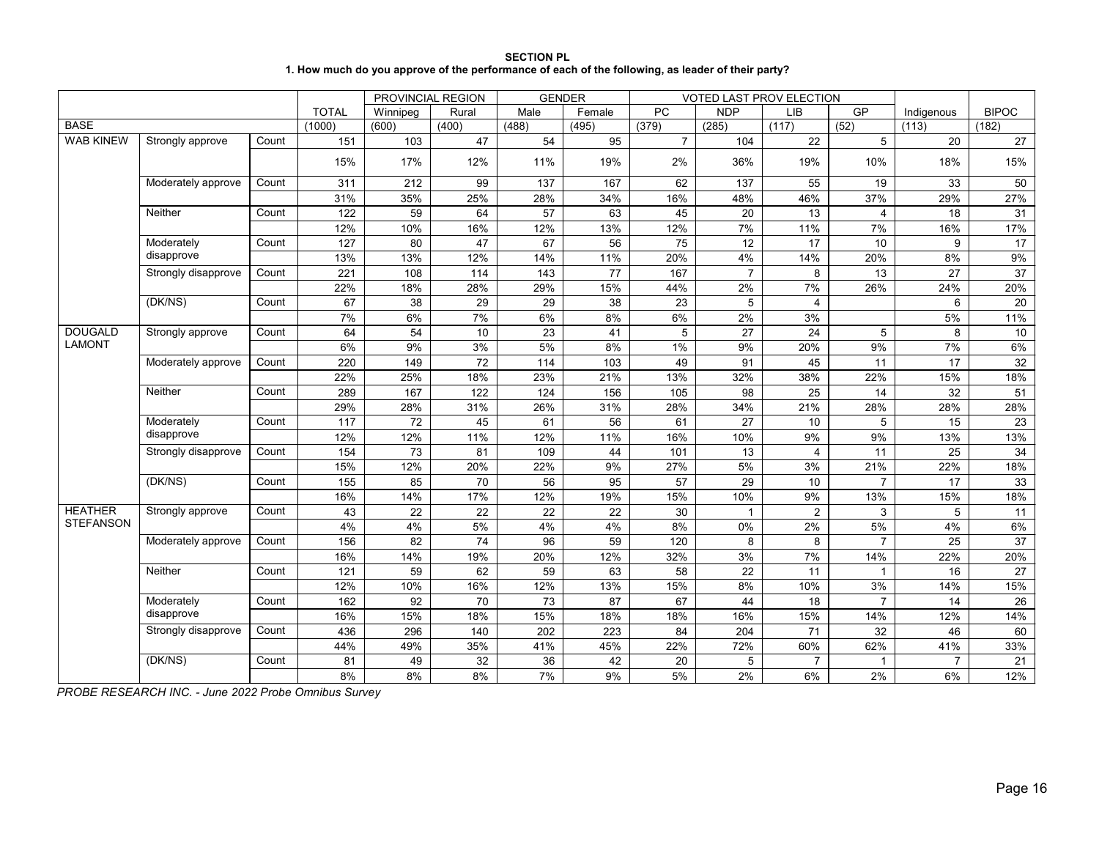| <b>SECTION PL</b>                                                                                 |
|---------------------------------------------------------------------------------------------------|
| 1. How much do you approve of the performance of each of the following, as leader of their party? |

|                  |                     |       |              |                   | PROVINCIAL REGION | <b>GENDER</b>   |                 |                 | VOTED LAST PROV ELECTION |                 |                |                |                 |
|------------------|---------------------|-------|--------------|-------------------|-------------------|-----------------|-----------------|-----------------|--------------------------|-----------------|----------------|----------------|-----------------|
|                  |                     |       | <b>TOTAL</b> | Winnipeg          | Rural             | Male            | Female          | <b>PC</b>       | <b>NDP</b>               | <b>LIB</b>      | GP             | Indigenous     | <b>BIPOC</b>    |
| <b>BASE</b>      |                     |       | (1000)       | (600)             | (400)             | (488)           | (495)           | (379)           | (285)                    | (117)           | (52)           | (113)          | (182)           |
| <b>WAB KINEW</b> | Strongly approve    | Count | 151          | 103               | 47                | 54              | 95              | $\overline{7}$  | 104                      | 22              | 5              | 20             | 27              |
|                  |                     |       | 15%          | 17%               | 12%               | 11%             | 19%             | 2%              | 36%                      | 19%             | 10%            | 18%            | 15%             |
|                  | Moderately approve  | Count | 311          | 212               | 99                | 137             | 167             | 62              | 137                      | 55              | 19             | 33             | 50              |
|                  |                     |       | 31%          | 35%               | 25%               | 28%             | 34%             | 16%             | 48%                      | 46%             | 37%            | 29%            | 27%             |
|                  | Neither             | Count | 122          | 59                | 64                | $\overline{57}$ | 63              | 45              | 20                       | $\overline{13}$ | 4              | 18             | 31              |
|                  |                     |       | 12%          | 10%               | 16%               | 12%             | 13%             | 12%             | 7%                       | 11%             | 7%             | 16%            | 17%             |
|                  | Moderately          | Count | 127          | 80                | 47                | 67              | 56              | $\overline{75}$ | 12                       | 17              | 10             | 9              | 17              |
|                  | disapprove          |       | 13%          | 13%               | 12%               | 14%             | 11%             | 20%             | 4%                       | 14%             | 20%            | 8%             | 9%              |
|                  | Strongly disapprove | Count | 221          | 108               | 114               | 143             | 77              | 167             | $\overline{7}$           | 8               | 13             | 27             | $\overline{37}$ |
|                  |                     |       | 22%          | 18%               | 28%               | 29%             | 15%             | 44%             | 2%                       | 7%              | 26%            | 24%            | 20%             |
|                  | (DK/NS)             | Count | 67           | 38                | 29                | 29              | 38              | 23              | 5                        | 4               |                | 6              | 20              |
|                  |                     |       | 7%           | 6%                | 7%                | 6%              | 8%              | 6%              | 2%                       | 3%              |                | 5%             | 11%             |
| <b>DOUGALD</b>   | Strongly approve    | Count | 64           | 54                | 10                | 23              | 41              | 5               | 27                       | 24              | 5              | 8              | 10              |
| <b>LAMONT</b>    |                     |       | 6%           | 9%                | 3%                | 5%              | 8%              | 1%              | 9%                       | 20%             | 9%             | 7%             | 6%              |
|                  | Moderately approve  | Count | 220          | 149               | 72                | 114             | 103             | 49              | 91                       | 45              | 11             | 17             | 32              |
|                  |                     |       | 22%          | 25%               | 18%               | 23%             | 21%             | 13%             | 32%                      | 38%             | 22%            | 15%            | 18%             |
|                  | Neither             | Count | 289          | $\frac{167}{167}$ | 122               | 124             | 156             | 105             | 98                       | 25              | 14             | 32             | 51              |
|                  |                     |       | 29%          | 28%               | 31%               | 26%             | 31%             | 28%             | 34%                      | 21%             | 28%            | 28%            | 28%             |
|                  | Moderately          | Count | 117          | $\overline{72}$   | 45                | 61              | 56              | 61              | 27                       | 10              | 5              | 15             | 23              |
|                  | disapprove          |       | 12%          | 12%               | 11%               | 12%             | 11%             | 16%             | 10%                      | 9%              | 9%             | 13%            | 13%             |
|                  | Strongly disapprove | Count | 154          | 73                | 81                | 109             | 44              | 101             | 13                       | 4               | 11             | 25             | 34              |
|                  |                     |       | 15%          | 12%               | 20%               | 22%             | 9%              | 27%             | 5%                       | 3%              | 21%            | 22%            | 18%             |
|                  | (DK/NS)             | Count | 155          | 85                | 70                | 56              | $\overline{95}$ | 57              | 29                       | 10              | $\overline{7}$ | 17             | 33              |
|                  |                     |       | 16%          | 14%               | 17%               | 12%             | 19%             | 15%             | 10%                      | 9%              | 13%            | 15%            | 18%             |
| <b>HEATHER</b>   | Strongly approve    | Count | 43           | 22                | 22                | 22              | 22              | 30              | $\mathbf{1}$             | $\overline{2}$  | 3              | 5              | 11              |
| <b>STEFANSON</b> |                     |       | 4%           | 4%                | 5%                | 4%              | 4%              | 8%              | 0%                       | 2%              | 5%             | 4%             | 6%              |
|                  | Moderately approve  | Count | 156          | 82                | 74                | 96              | 59              | 120             | 8                        | 8               | $\overline{7}$ | 25             | 37              |
|                  |                     |       | 16%          | 14%               | 19%               | 20%             | 12%             | 32%             | 3%                       | 7%              | 14%            | 22%            | 20%             |
|                  | Neither             | Count | 121          | 59                | 62                | 59              | 63              | 58              | 22                       | 11              | $\mathbf{1}$   | 16             | 27              |
|                  |                     |       | 12%          | 10%               | 16%               | 12%             | 13%             | 15%             | 8%                       | 10%             | 3%             | 14%            | 15%             |
|                  | Moderately          | Count | 162          | 92                | 70                | 73              | 87              | 67              | 44                       | 18              | $\overline{7}$ | 14             | 26              |
|                  | disapprove          |       | 16%          | 15%               | 18%               | 15%             | 18%             | 18%             | 16%                      | 15%             | 14%            | 12%            | 14%             |
|                  | Strongly disapprove | Count | 436          | 296               | 140               | 202             | 223             | 84              | 204                      | 71              | 32             | 46             | 60              |
|                  |                     |       | 44%          | 49%               | 35%               | 41%             | 45%             | 22%             | 72%                      | 60%             | 62%            | 41%            | 33%             |
|                  | (DK/NS)             | Count | 81           | 49                | 32                | 36              | 42              | 20              | 5                        | $\overline{7}$  | 1              | $\overline{7}$ | 21              |
|                  |                     |       | 8%           | 8%                | 8%                | 7%              | 9%              | 5%              | 2%                       | 6%              | 2%             | 6%             | 12%             |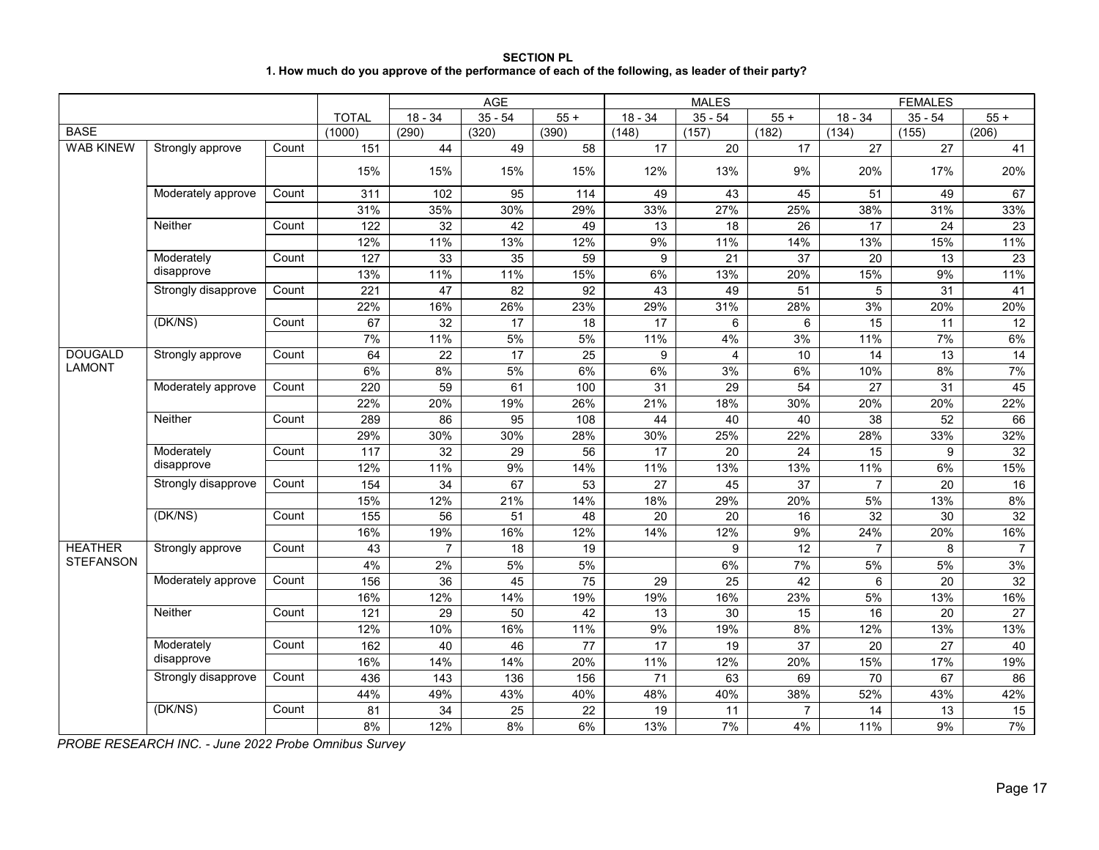# **SECTION PL 1. How much do you approve of the performance of each of the following, as leader of their party?**

|                  |                     |       |                  |                 | AGE             |                 |                 | <b>MALES</b>            |                 |                 | <b>FEMALES</b>  |                 |
|------------------|---------------------|-------|------------------|-----------------|-----------------|-----------------|-----------------|-------------------------|-----------------|-----------------|-----------------|-----------------|
|                  |                     |       | <b>TOTAL</b>     | $18 - 34$       | $35 - 54$       | $55 +$          | $18 - 34$       | $35 - 54$               | $55+$           | $18 - 34$       | $35 - 54$       | $55 +$          |
| <b>BASE</b>      |                     |       | (1000)           | (290)           | (320)           | (390)           | (148)           | (157)                   | (182)           | (134)           | (155)           | (206)           |
| <b>WAB KINEW</b> | Strongly approve    | Count | 151              | 44              | 49              | $\overline{58}$ | 17              | $\overline{20}$         | 17              | $\overline{27}$ | $\overline{27}$ | 41              |
|                  |                     |       | 15%              | 15%             | 15%             | 15%             | 12%             | 13%                     | 9%              | 20%             | 17%             | 20%             |
|                  | Moderately approve  | Count | 311              | 102             | 95              | 114             | 49              | 43                      | 45              | 51              | 49              | 67              |
|                  |                     |       | 31%              | 35%             | 30%             | 29%             | 33%             | 27%                     | 25%             | 38%             | 31%             | 33%             |
|                  | Neither             | Count | 122              | $\overline{32}$ | 42              | 49              | 13              | 18                      | 26              | 17              | 24              | 23              |
|                  |                     |       | 12%              | 11%             | 13%             | 12%             | 9%              | 11%                     | 14%             | 13%             | 15%             | 11%             |
|                  | Moderately          | Count | 127              | 33              | 35              | 59              | 9               | $\overline{21}$         | 37              | 20              | 13              | 23              |
|                  | disapprove          |       | 13%              | 11%             | 11%             | 15%             | 6%              | 13%                     | 20%             | 15%             | 9%              | 11%             |
|                  | Strongly disapprove | Count | 221              | $\overline{47}$ | 82              | 92              | 43              | 49                      | 51              | 5               | $\overline{31}$ | 41              |
|                  |                     |       | 22%              | 16%             | 26%             | 23%             | 29%             | 31%                     | 28%             | 3%              | 20%             | 20%             |
|                  | (DK/NS)             | Count | 67               | 32              | 17              | 18              | 17              | 6                       | 6               | 15              | 11              | 12              |
|                  |                     |       | 7%               | 11%             | 5%              | 5%              | 11%             | 4%                      | 3%              | 11%             | 7%              | 6%              |
| <b>DOUGALD</b>   | Strongly approve    | Count | 64               | 22              | 17              | 25              | 9               | $\overline{\mathbf{4}}$ | 10              | 14              | 13              | 14              |
| <b>LAMONT</b>    |                     |       | 6%               | 8%              | 5%              | 6%              | 6%              | 3%                      | 6%              | 10%             | 8%              | 7%              |
|                  | Moderately approve  | Count | 220              | 59              | 61              | 100             | 31              | 29                      | 54              | 27              | 31              | 45              |
|                  |                     |       | 22%              | 20%             | 19%             | 26%             | 21%             | 18%                     | 30%             | 20%             | 20%             | 22%             |
|                  | Neither             | Count | 289              | 86              | 95              | 108             | 44              | 40                      | 40              | 38              | 52              | 66              |
|                  |                     |       | 29%              | 30%             | 30%             | 28%             | 30%             | 25%                     | 22%             | 28%             | 33%             | 32%             |
|                  | Moderately          | Count | 117              | $\overline{32}$ | 29              | $\overline{56}$ | 17              | $\overline{20}$         | 24              | $\overline{15}$ | 9               | 32              |
|                  | disapprove          |       | 12%              | 11%             | 9%              | 14%             | 11%             | 13%                     | 13%             | 11%             | 6%              | 15%             |
|                  | Strongly disapprove | Count | $\overline{154}$ | $\overline{34}$ | 67              | $\overline{53}$ | $\overline{27}$ | $\overline{45}$         | $\overline{37}$ | $\overline{7}$  | $\overline{20}$ | 16              |
|                  |                     |       | 15%              | 12%             | 21%             | 14%             | 18%             | 29%                     | 20%             | 5%              | 13%             | 8%              |
|                  | (DK/NS)             | Count | $\overline{155}$ | 56              | 51              | 48              | $\overline{20}$ | $\overline{20}$         | 16              | $\overline{32}$ | 30              | $\overline{32}$ |
|                  |                     |       | 16%              | 19%             | 16%             | 12%             | 14%             | 12%                     | 9%              | 24%             | 20%             | 16%             |
| <b>HEATHER</b>   | Strongly approve    | Count | 43               | $\overline{7}$  | 18              | 19              |                 | 9                       | 12              | $\overline{7}$  | 8               | $\overline{7}$  |
| <b>STEFANSON</b> |                     |       | 4%               | 2%              | 5%              | 5%              |                 | 6%                      | 7%              | 5%              | 5%              | 3%              |
|                  | Moderately approve  | Count | 156              | $\overline{36}$ | $\overline{45}$ | $\overline{75}$ | 29              | $\overline{25}$         | 42              | 6               | $\overline{20}$ | $\overline{32}$ |
|                  |                     |       | 16%              | 12%             | 14%             | 19%             | 19%             | 16%                     | 23%             | 5%              | 13%             | 16%             |
|                  | Neither             | Count | 121              | $\overline{29}$ | 50              | 42              | 13              | 30                      | 15              | 16              | 20              | 27              |
|                  |                     |       | 12%              | 10%             | 16%             | 11%             | 9%              | 19%                     | 8%              | 12%             | 13%             | 13%             |
|                  | Moderately          | Count | 162              | 40              | 46              | 77              | 17              | 19                      | 37              | 20              | 27              | 40              |
|                  | disapprove          |       | 16%              | 14%             | 14%             | 20%             | 11%             | 12%                     | 20%             | 15%             | 17%             | 19%             |
|                  | Strongly disapprove | Count | 436              | 143             | 136             | 156             | 71              | 63                      | 69              | 70              | 67              | 86              |
|                  |                     |       | 44%              | 49%             | 43%             | 40%             | 48%             | 40%                     | 38%             | 52%             | 43%             | 42%             |
|                  | (DK/NS)             | Count | 81               | 34              | $\overline{25}$ | 22              | 19              | 11                      | $\overline{7}$  | 14              | 13              | 15              |
|                  |                     |       | 8%               | 12%             | 8%              | 6%              | 13%             | 7%                      | 4%              | 11%             | 9%              | 7%              |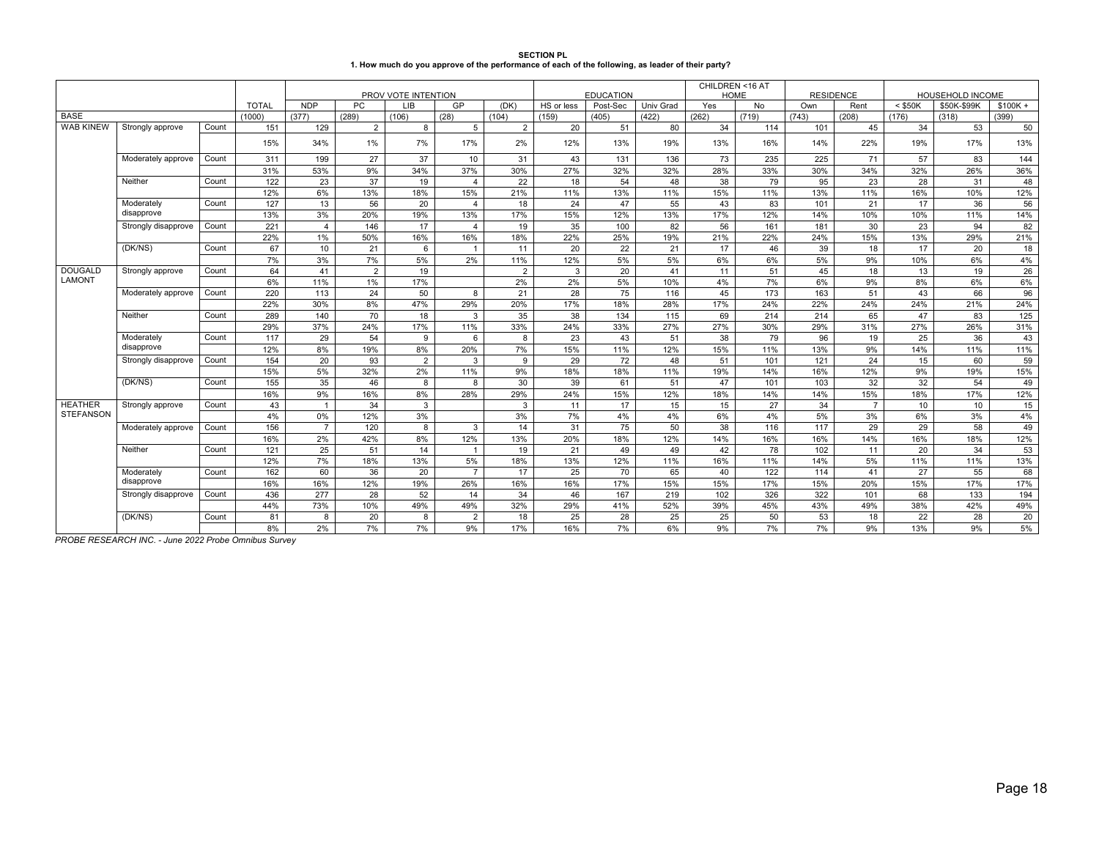| <b>SECTION PL</b>                                                                                 |
|---------------------------------------------------------------------------------------------------|
| 1. How much do you approve of the performance of each of the following, as leader of their party? |

|                  |                     |       |              |                |       |                                   |                |                |            |                   |           | CHILDREN <16 AT    |                    |                  |                |           |                                 |                    |
|------------------|---------------------|-------|--------------|----------------|-------|-----------------------------------|----------------|----------------|------------|-------------------|-----------|--------------------|--------------------|------------------|----------------|-----------|---------------------------------|--------------------|
|                  |                     |       | <b>TOTAL</b> | <b>NDP</b>     | PC.   | PROV VOTE INTENTION<br><b>LIB</b> | GP             |                | HS or less | <b>EDUCATION</b>  | Univ Grad | <b>HOME</b><br>Yes |                    | <b>RESIDENCE</b> |                | $<$ \$50K | HOUSEHOLD INCOME<br>\$50K-\$99K |                    |
| <b>BASE</b>      |                     |       | (1000)       | (377)          | (289) | (106)                             | (28)           | (DK)<br>(104)  | (159)      | Post-Sec<br>(405) | (422)     | (262)              | <b>No</b><br>(719) | Own<br>(743)     | Rent<br>(208)  | (176)     | (318)                           | $$100K +$<br>(399) |
| <b>WAB KINEW</b> | Strongly approve    | Count | 151          | 129            | 2     | 8                                 | 5              | $\overline{2}$ | 20         | 51                | 80        | 34                 | 114                | 101              | 45             | 34        | 53                              | 50                 |
|                  |                     |       | 15%          | 34%            | 1%    | 7%                                | 17%            | 2%             | 12%        | 13%               | 19%       | 13%                | 16%                | 14%              | 22%            | 19%       | 17%                             | 13%                |
|                  | Moderately approve  | Count | 311          | 199            | 27    | 37                                | 10             | 31             | 43         | 131               | 136       | 73                 | 235                | 225              | 71             | 57        | 83                              | 144                |
|                  |                     |       | 31%          | 53%            | 9%    | 34%                               | 37%            | 30%            | 27%        | 32%               | 32%       | 28%                | 33%                | 30%              | 34%            | 32%       | 26%                             | 36%                |
|                  | Neither             | Count | 122          | 23             | 37    | 19                                | $\overline{4}$ | 22             | 18         | 54                | 48        | 38                 | 79                 | 95               | 23             | 28        | 31                              | 48                 |
|                  |                     |       | 12%          | 6%             | 13%   | 18%                               | 15%            | 21%            | 11%        | 13%               | 11%       | 15%                | 11%                | 13%              | 11%            | 16%       | 10%                             | 12%                |
|                  | Moderately          | Count | 127          | 13             | 56    | 20                                | $\overline{4}$ | 18             | 24         | 47                | 55        | 43                 | 83                 | 101              | 21             | 17        | 36                              | 56                 |
|                  | disapprove          |       | 13%          | 3%             | 20%   | 19%                               | 13%            | 17%            | 15%        | 12%               | 13%       | 17%                | 12%                | 14%              | 10%            | 10%       | 11%                             | 14%                |
|                  | Strongly disapprove | Count | 221          | $\overline{4}$ | 146   | 17                                | $\overline{4}$ | 19             | 35         | 100               | 82        | 56                 | 161                | 181              | 30             | 23        | 94                              | 82                 |
|                  |                     |       | 22%          | 1%             | 50%   | 16%                               | 16%            | 18%            | 22%        | 25%               | 19%       | 21%                | 22%                | 24%              | 15%            | 13%       | 29%                             | 21%                |
|                  | (DK/NS)             | Count | 67           | 10             | 21    | 6                                 | $\overline{1}$ | 11             | 20         | 22                | 21        | 17                 | 46                 | 39               | 18             | 17        | 20                              | 18                 |
|                  |                     |       | 7%           | 3%             | 7%    | 5%                                | 2%             | 11%            | 12%        | 5%                | 5%        | 6%                 | 6%                 | 5%               | 9%             | 10%       | 6%                              | 4%                 |
| <b>DOUGALD</b>   | Strongly approve    | Count | 64           | 41             | 2     | 19                                |                | $\overline{2}$ | 3          | 20                | 41        | 11                 | 51                 | 45               | 18             | 13        | 19                              | 26                 |
| <b>LAMONT</b>    |                     |       | 6%           | 11%            | 1%    | 17%                               |                | 2%             | 2%         | 5%                | 10%       | 4%                 | 7%                 | 6%               | 9%             | 8%        | 6%                              | 6%                 |
|                  | Moderately approve  | Count | 220          | 113            | 24    | 50                                | 8              | 21             | 28         | 75                | 116       | 45                 | 173                | 163              | 51             | 43        | 66                              | 96                 |
|                  |                     |       | 22%          | 30%            | 8%    | 47%                               | 29%            | 20%            | 17%        | 18%               | 28%       | 17%                | 24%                | 22%              | 24%            | 24%       | 21%                             | 24%                |
|                  | Neither             | Count | 289          | 140            | 70    | 18                                | 3              | 35             | 38         | 134               | 115       | 69                 | 214                | 214              | 65             | 47        | 83                              | 125                |
|                  |                     |       | 29%          | 37%            | 24%   | 17%                               | 11%            | 33%            | 24%        | 33%               | 27%       | 27%                | 30%                | 29%              | 31%            | 27%       | 26%                             | 31%                |
|                  | Moderately          | Count | 117          | 29             | 54    | 9                                 | 6              | 8              | 23         | 43                | 51        | 38                 | 79                 | 96               | 19             | 25        | 36                              | 43                 |
|                  | disapprove          |       | 12%          | 8%             | 19%   | 8%                                | 20%            | 7%             | 15%        | 11%               | 12%       | 15%                | 11%                | 13%              | 9%             | 14%       | 11%                             | 11%                |
|                  | Strongly disapprove | Count | 154          | 20             | 93    | $\overline{2}$                    | 3              | -9             | 29         | 72                | 48        | 51                 | 101                | 121              | 24             | 15        | 60                              | 59                 |
|                  |                     |       | 15%          | 5%             | 32%   | 2%                                | 11%            | 9%             | 18%        | 18%               | 11%       | 19%                | 14%                | 16%              | 12%            | 9%        | 19%                             | 15%                |
|                  | (DK/NS)             | Count | 155          | 35             | 46    | 8                                 | 8              | 30             | 39         | 61                | 51        | 47                 | 101                | 103              | 32             | 32        | 54                              | 49                 |
|                  |                     |       | 16%          | 9%             | 16%   | 8%                                | 28%            | 29%            | 24%        | 15%               | 12%       | 18%                | 14%                | 14%              | 15%            | 18%       | 17%                             | 12%                |
| <b>HEATHER</b>   | Strongly approve    | Count | 43           | $\overline{1}$ | 34    | $\mathbf{3}$                      |                | 3              | 11         | 17                | 15        | 15                 | 27                 | 34               | $\overline{7}$ | 10        | 10                              | 15                 |
| <b>STEFANSON</b> |                     |       | 4%           | 0%             | 12%   | 3%                                |                | 3%             | 7%         | 4%                | 4%        | 6%                 | 4%                 | 5%               | 3%             | 6%        | 3%                              | 4%                 |
|                  | Moderately approve  | Count | 156          | $\overline{7}$ | 120   | 8                                 | 3              | 14             | 31         | 75                | 50        | 38                 | 116                | 117              | 29             | 29        | 58                              | 49                 |
|                  |                     |       | 16%          | 2%             | 42%   | 8%                                | 12%            | 13%            | 20%        | 18%               | 12%       | 14%                | 16%                | 16%              | 14%            | 16%       | 18%                             | 12%                |
|                  | Neither             | Count | 121          | 25             | 51    | 14                                | $\mathbf{1}$   | 19             | 21         | 49                | 49        | 42                 | 78                 | 102              | 11             | 20        | 34                              | 53                 |
|                  |                     |       | 12%          | 7%             | 18%   | 13%                               | 5%             | 18%            | 13%        | 12%               | 11%       | 16%                | 11%                | 14%              | 5%             | 11%       | 11%                             | 13%                |
|                  | Moderately          | Count | 162          | 60             | 36    | 20                                | $\overline{7}$ | 17             | 25         | 70                | 65        | 40                 | 122                | 114              | 41             | 27        | 55                              | 68                 |
|                  | disapprove          |       | 16%          | 16%            | 12%   | 19%                               | 26%            | 16%            | 16%        | 17%               | 15%       | 15%                | 17%                | 15%              | 20%            | 15%       | 17%                             | 17%                |
|                  | Strongly disapprove | Count | 436          | 277            | 28    | 52                                | 14             | 34             | 46         | 167               | 219       | 102                | 326                | 322              | 101            | 68        | 133                             | 194                |
|                  |                     |       | 44%          | 73%            | 10%   | 49%                               | 49%            | 32%            | 29%        | 41%               | 52%       | 39%                | 45%                | 43%              | 49%            | 38%       | 42%                             | 49%                |
|                  | (DK/NS)             | Count | 81           | 8              | 20    | 8                                 | $\overline{2}$ | 18             | 25         | 28                | 25        | 25                 | 50                 | 53               | 18             | 22        | 28                              | 20                 |
|                  |                     |       | 8%           | 2%             | 7%    | 7%                                | 9%             | 17%            | 16%        | 7%                | 6%        | 9%                 | 7%                 | 7%               | 9%             | 13%       | 9%                              | 5%                 |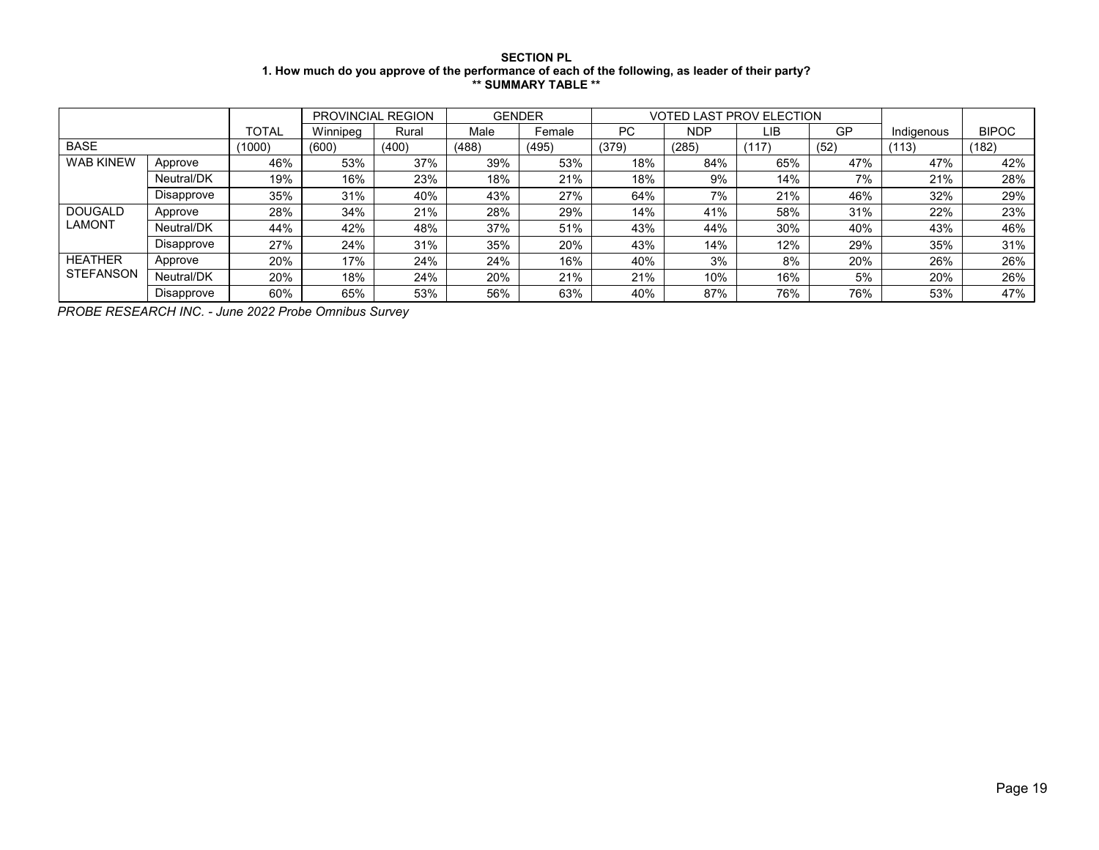### **SECTION PL 1. How much do you approve of the performance of each of the following, as leader of their party? \*\* SUMMARY TABLE \*\***

|                  |            |        |          | PROVINCIAL REGION | <b>GENDER</b> |        |           | <b>VOTED LAST PROV ELECTION</b> |       |      |            |              |
|------------------|------------|--------|----------|-------------------|---------------|--------|-----------|---------------------------------|-------|------|------------|--------------|
|                  |            | TOTAL  | Winnipeg | Rural             | Male          | Female | <b>PC</b> | <b>NDP</b>                      | LIB   | GP   | Indigenous | <b>BIPOC</b> |
| <b>BASE</b>      |            | (1000) | (600)    | (400)             | (488)         | (495)  | (379)     | (285)                           | (117) | (52) | (113)      | (182)        |
| <b>WAB KINEW</b> | Approve    | 46%    | 53%      | 37%               | 39%           | 53%    | 18%       | 84%                             | 65%   | 47%  | 47%        | 42%          |
|                  | Neutral/DK | 19%    | 16%      | 23%               | 18%           | 21%    | 18%       | 9%                              | 14%   | 7%   | 21%        | 28%          |
|                  | Disapprove | 35%    | 31%      | 40%               | 43%           | 27%    | 64%       | 7%                              | 21%   | 46%  | 32%        | 29%          |
| <b>DOUGALD</b>   | Approve    | 28%    | 34%      | 21%               | 28%           | 29%    | 14%       | 41%                             | 58%   | 31%  | 22%        | 23%          |
| <b>LAMONT</b>    | Neutral/DK | 44%    | 42%      | 48%               | 37%           | 51%    | 43%       | 44%                             | 30%   | 40%  | 43%        | 46%          |
|                  | Disapprove | 27%    | 24%      | 31%               | 35%           | 20%    | 43%       | 14%                             | 12%   | 29%  | 35%        | 31%          |
| <b>HEATHER</b>   | Approve    | 20%    | 17%      | 24%               | 24%           | 16%    | 40%       | 3%                              | 8%    | 20%  | 26%        | 26%          |
| <b>STEFANSON</b> | Neutral/DK | 20%    | 18%      | 24%               | 20%           | 21%    | 21%       | 10%                             | 16%   | 5%   | 20%        | 26%          |
|                  | Disapprove | 60%    | 65%      | 53%               | 56%           | 63%    | 40%       | 87%                             | 76%   | 76%  | 53%        | 47%          |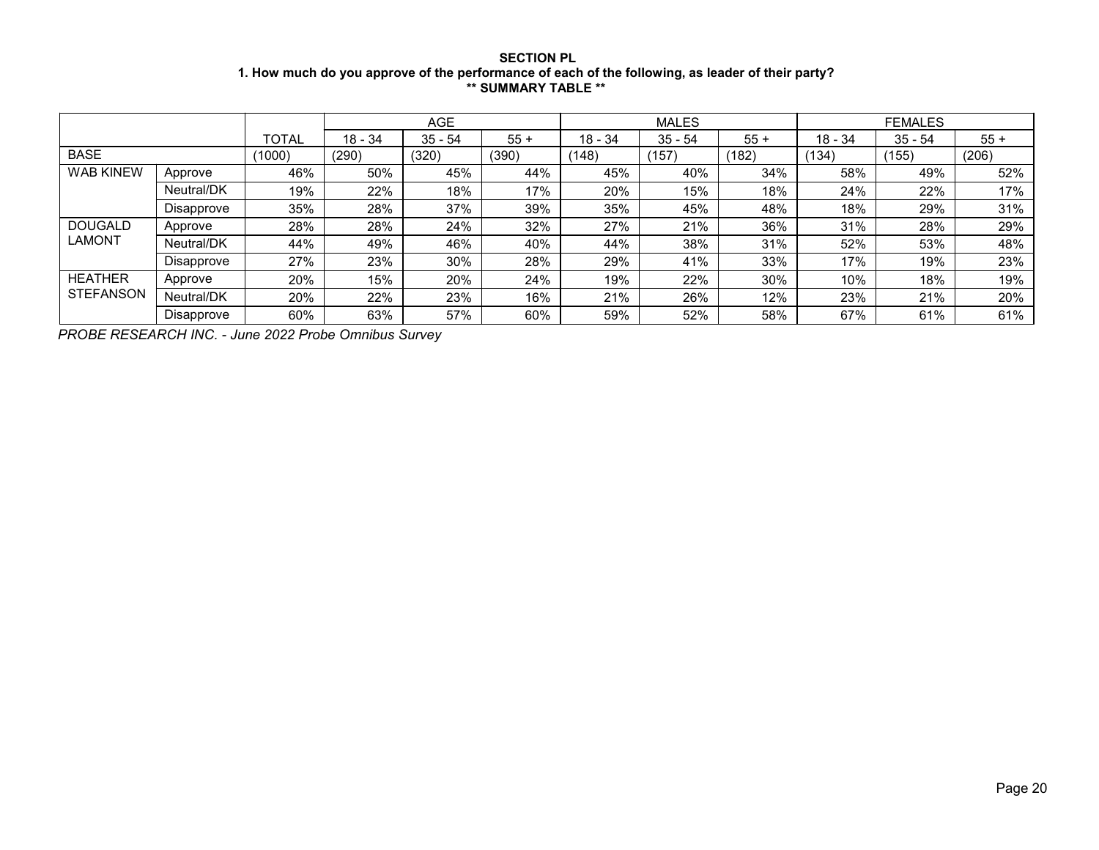# **SECTION PL 1. How much do you approve of the performance of each of the following, as leader of their party? \*\* SUMMARY TABLE \*\***

|                  |            |        |           | <b>AGE</b> |       |           | <b>MALES</b> |       |           | <b>FEMALES</b> |       |
|------------------|------------|--------|-----------|------------|-------|-----------|--------------|-------|-----------|----------------|-------|
|                  |            | TOTAL  | $18 - 34$ | $35 - 54$  | $55+$ | $18 - 34$ | $35 - 54$    | $55+$ | $18 - 34$ | $35 - 54$      | $55+$ |
| <b>BASE</b>      |            | (1000) | (290)     | (320)      | (390) | (148)     | (157)        | (182) | (134)     | (155)          | (206) |
| <b>WAB KINEW</b> | Approve    | 46%    | 50%       | 45%        | 44%   | 45%       | 40%          | 34%   | 58%       | 49%            | 52%   |
|                  | Neutral/DK | 19%    | 22%       | 18%        | 17%   | 20%       | 15%          | 18%   | 24%       | 22%            | 17%   |
|                  | Disapprove | 35%    | 28%       | 37%        | 39%   | 35%       | 45%          | 48%   | 18%       | 29%            | 31%   |
| <b>DOUGALD</b>   | Approve    | 28%    | 28%       | 24%        | 32%   | 27%       | 21%          | 36%   | 31%       | 28%            | 29%   |
| <b>LAMONT</b>    | Neutral/DK | 44%    | 49%       | 46%        | 40%   | 44%       | 38%          | 31%   | 52%       | 53%            | 48%   |
|                  | Disapprove | 27%    | 23%       | 30%        | 28%   | 29%       | 41%          | 33%   | 17%       | 19%            | 23%   |
| <b>HEATHER</b>   | Approve    | 20%    | 15%       | 20%        | 24%   | 19%       | 22%          | 30%   | 10%       | 18%            | 19%   |
| <b>STEFANSON</b> | Neutral/DK | 20%    | 22%       | 23%        | 16%   | 21%       | 26%          | 12%   | 23%       | 21%            | 20%   |
|                  | Disapprove | 60%    | 63%       | 57%        | 60%   | 59%       | 52%          | 58%   | 67%       | 61%            | 61%   |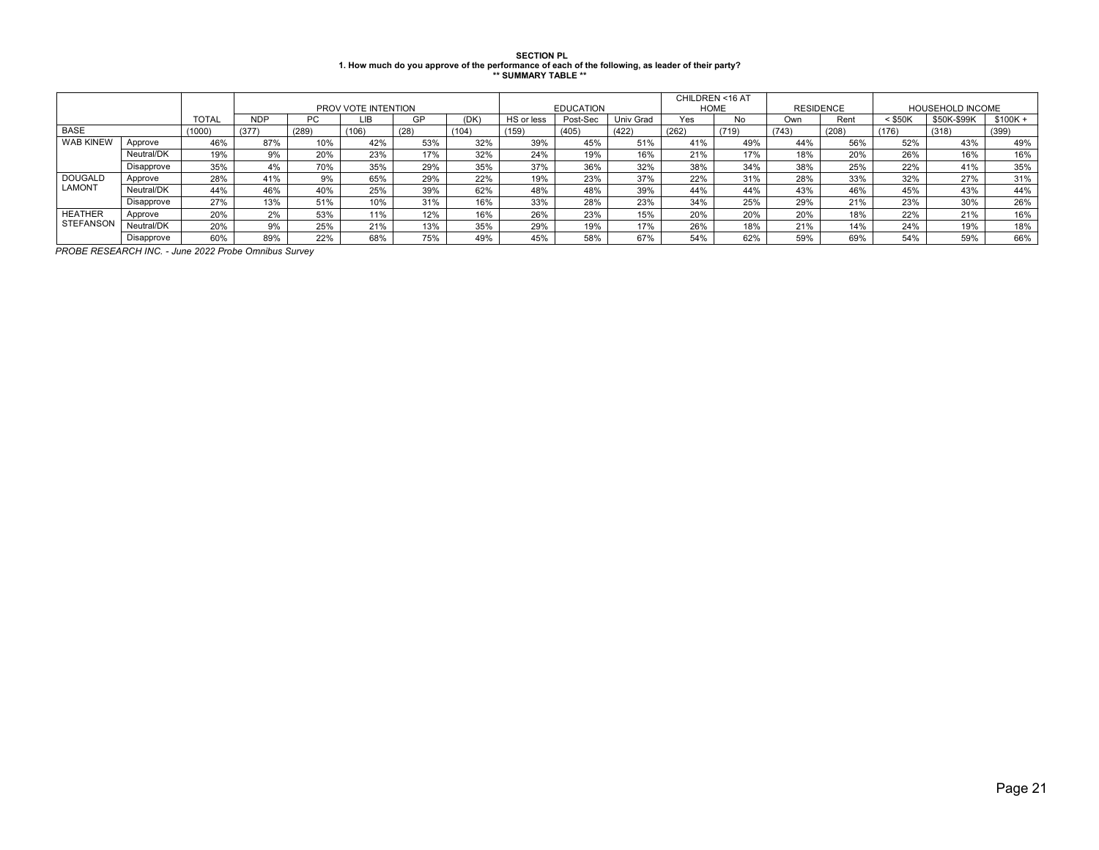# **SECTION PL 1. How much do you approve of the performance of each of the following, as leader of their party? \*\* SUMMARY TABLE \*\***

|                  | PROV VOTE INTENTION |              |            |       |       |      | <b>EDUCATION</b> |            | CHILDREN <16 AT<br><b>HOME</b> |           | <b>RESIDENCE</b> |       | <b>HOUSEHOLD INCOME</b> |       |           |             |           |
|------------------|---------------------|--------------|------------|-------|-------|------|------------------|------------|--------------------------------|-----------|------------------|-------|-------------------------|-------|-----------|-------------|-----------|
|                  |                     | <b>TOTAL</b> | <b>NDP</b> | PC.   | LIB   | GP   | (DK)             | HS or less | Post-Sec                       | Univ Grad | Yes              | No    | Own                     | Rent  | $<$ \$50K | \$50K-\$99K | $$100K +$ |
| <b>BASE</b>      |                     | (1000)       | (377)      | (289) | (106) | (28) | (104)            | (159)      | (405)                          | (422)     | (262)            | (719) | (743)                   | (208) | (176)     | (318)       | (399)     |
| <b>WAB KINEW</b> | Approve             | 46%          | 87%        | 10%   | 42%   | 53%  | 32%              | 39%        | 45%                            | 51%       | 41%              | 49%   | 44%                     | 56%   | 52%       | 43%         | 49%       |
|                  | Neutral/DK          | 19%          | 9%         | 20%   | 23%   | 17%  | 32%              | 24%        | 19%                            | 16%       | 21%              | 17%   | 18%                     | 20%   | 26%       | 16%         | 16%       |
|                  | Disapprove          | 35%          | 4%         | 70%   | 35%   | 29%  | 35%              | 37%        | 36%                            | 32%       | 38%              | 34%   | 38%                     | 25%   | 22%       | 41%         | 35%       |
| <b>DOUGALD</b>   | Approve             | 28%          | 41%        | 9%    | 65%   | 29%  | 22%              | 19%        | 23%                            | 37%       | 22%              | 31%   | 28%                     | 33%   | 32%       | 27%         | 31%       |
| <b>LAMONT</b>    | Neutral/DK          | 44%          | 46%        | 40%   | 25%   | 39%  | 62%              | 48%        | 48%                            | 39%       | 44%              | 44%   | 43%                     | 46%   | 45%       | 43%         | 44%       |
|                  | Disapprove          | 27%          | 13%        | 51%   | 10%   | 31%  | 16%              | 33%        | 28%                            | 23%       | 34%              | 25%   | 29%                     | 21%   | 23%       | 30%         | 26%       |
| <b>HEATHER</b>   | Approve             | 20%          | 2%         | 53%   | 11%   | 12%  | 16%              | 26%        | 23%                            | 15%       | 20%              | 20%   | 20%                     | 18%   | 22%       | 21%         | 16%       |
| <b>STEFANSON</b> | Neutral/DK          | 20%          | 9%         | 25%   | 21%   | 13%  | 35%              | 29%        | 19%                            | 17%       | 26%              | 18%   | 21%                     | 14%   | 24%       | 19%         | 18%       |
|                  | Disapprove          | 60%          | 89%        | 22%   | 68%   | 75%  | 49%              | 45%        | 58%                            | 67%       | 54%              | 62%   | 59%                     | 69%   | 54%       | 59%         | 66%       |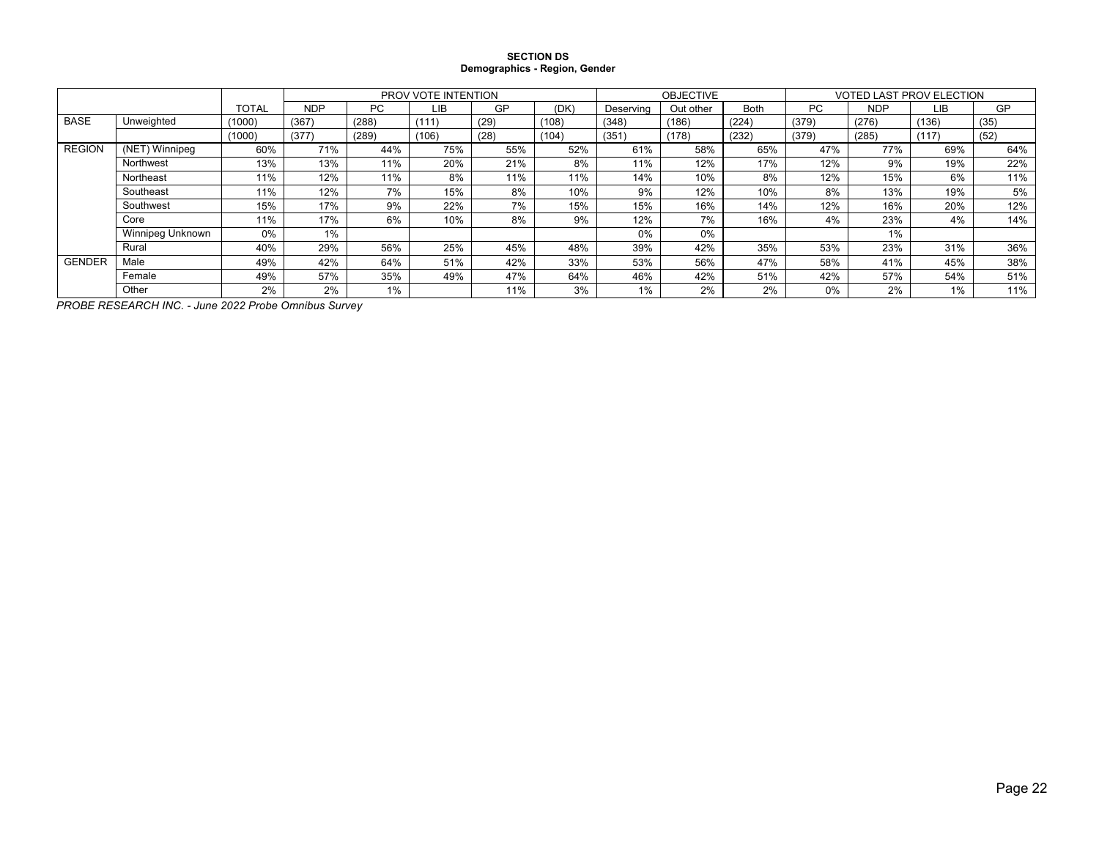#### **SECTION DS Demographics - Region, Gender**

|               |                  |              |            |       | <b>PROV VOTE INTENTION</b> |      |       |           | <b>OBJECTIVE</b> |             | <b>VOTED LAST PROV ELECTION</b> |            |       |      |  |
|---------------|------------------|--------------|------------|-------|----------------------------|------|-------|-----------|------------------|-------------|---------------------------------|------------|-------|------|--|
|               |                  | <b>TOTAL</b> | <b>NDP</b> | PC    | LIB                        | GP   | (DK)  | Deserving | Out other        | <b>Both</b> | PC                              | <b>NDP</b> | LIB   | GP   |  |
| <b>BASE</b>   | Unweighted       | (1000)       | (367)      | (288) | (111)                      | (29) | (108) | (348)     | (186)            | (224)       | (379)                           | (276)      | (136) | (35) |  |
|               |                  | (1000)       | (377)      | (289) | (106)                      | (28) | (104) | (351)     | (178)            | (232)       | (379)                           | (285)      | (117  | (52) |  |
| <b>REGION</b> | (NET) Winnipeg   | 60%          | 71%        | 44%   | 75%                        | 55%  | 52%   | 61%       | 58%              | 65%         | 47%                             | 77%        | 69%   | 64%  |  |
|               | Northwest        | 13%          | 13%        | 11%   | 20%                        | 21%  | 8%    | 11%       | 12%              | 17%         | 12%                             | 9%         | 19%   | 22%  |  |
|               | Northeast        | 11%          | 12%        | 11%   | 8%                         | 11%  | 11%   | 14%       | 10%              | 8%          | 12%                             | 15%        | 6%    | 11%  |  |
|               | Southeast        | 11%          | 12%        | 7%    | 15%                        | 8%   | 10%   | 9%        | 12%              | 10%         | 8%                              | 13%        | 19%   | 5%   |  |
|               | Southwest        | 15%          | 17%        | 9%    | 22%                        | 7%   | 15%   | 15%       | 16%              | 14%         | 12%                             | 16%        | 20%   | 12%  |  |
|               | Core             | 11%          | 17%        | 6%    | 10%                        | 8%   | 9%    | 12%       | 7%               | 16%         | 4%                              | 23%        | 4%    | 14%  |  |
|               | Winnipeg Unknown | 0%           | 1%         |       |                            |      |       | $0\%$     | 0%               |             |                                 | $1\%$      |       |      |  |
|               | Rural            | 40%          | 29%        | 56%   | 25%                        | 45%  | 48%   | 39%       | 42%              | 35%         | 53%                             | 23%        | 31%   | 36%  |  |
| <b>GENDER</b> | Male             | 49%          | 42%        | 64%   | 51%                        | 42%  | 33%   | 53%       | 56%              | 47%         | 58%                             | 41%        | 45%   | 38%  |  |
|               | Female           | 49%          | 57%        | 35%   | 49%                        | 47%  | 64%   | 46%       | 42%              | 51%         | 42%                             | 57%        | 54%   | 51%  |  |
|               | Other            | 2%           | 2%         | $1\%$ |                            | 11%  | 3%    | 1%        | 2%               | 2%          | 0%                              | 2%         | 1%    | 11%  |  |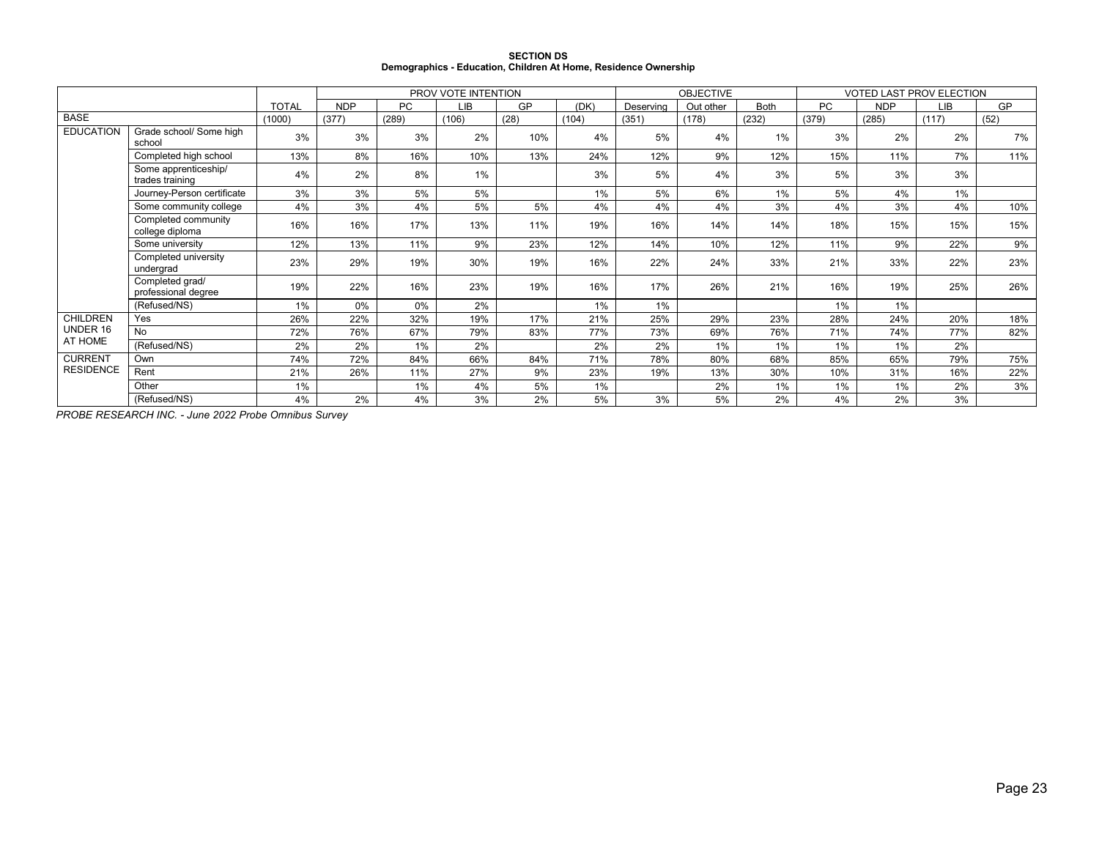|                                                                 | <b>SECTION DS</b> |  |
|-----------------------------------------------------------------|-------------------|--|
| Demographics - Education, Children At Home, Residence Ownership |                   |  |

|                  |                                         |              |            | PROV VOTE INTENTION |       |      |       |           | <b>OBJECTIVE</b> |             | <b>VOTED LAST PROV ELECTION</b> |            |       |      |
|------------------|-----------------------------------------|--------------|------------|---------------------|-------|------|-------|-----------|------------------|-------------|---------------------------------|------------|-------|------|
|                  |                                         | <b>TOTAL</b> | <b>NDP</b> | <b>PC</b>           | LIB   | GP   | (DK)  | Deserving | Out other        | <b>Both</b> | <b>PC</b>                       | <b>NDP</b> | LIB   | GP   |
| <b>BASE</b>      |                                         | (1000)       | (377)      | (289)               | (106) | (28) | (104) | (351)     | (178)            | (232)       | (379)                           | (285)      | (117) | (52) |
| <b>EDUCATION</b> | Grade school/ Some high<br>school       | 3%           | 3%         | 3%                  | 2%    | 10%  | 4%    | 5%        | 4%               | 1%          | 3%                              | 2%         | 2%    | 7%   |
|                  | Completed high school                   | 13%          | 8%         | 16%                 | 10%   | 13%  | 24%   | 12%       | 9%               | 12%         | 15%                             | 11%        | 7%    | 11%  |
|                  | Some apprenticeship/<br>trades training | 4%           | 2%         | 8%                  | 1%    |      | 3%    | 5%        | 4%               | 3%          | 5%                              | 3%         | 3%    |      |
|                  | Journey-Person certificate              | 3%           | 3%         | 5%                  | 5%    |      | 1%    | 5%        | 6%               | 1%          | 5%                              | 4%         | 1%    |      |
|                  | Some community college                  | 4%           | 3%         | 4%                  | 5%    | 5%   | 4%    | 4%        | 4%               | 3%          | 4%                              | 3%         | 4%    | 10%  |
|                  | Completed community<br>college diploma  | 16%          | 16%        | 17%                 | 13%   | 11%  | 19%   | 16%       | 14%              | 14%         | 18%                             | 15%        | 15%   | 15%  |
|                  | Some university                         | 12%          | 13%        | 11%                 | 9%    | 23%  | 12%   | 14%       | 10%              | 12%         | 11%                             | 9%         | 22%   | 9%   |
|                  | Completed university<br>undergrad       | 23%          | 29%        | 19%                 | 30%   | 19%  | 16%   | 22%       | 24%              | 33%         | 21%                             | 33%        | 22%   | 23%  |
|                  | Completed grad/<br>professional degree  | 19%          | 22%        | 16%                 | 23%   | 19%  | 16%   | 17%       | 26%              | 21%         | 16%                             | 19%        | 25%   | 26%  |
|                  | (Refused/NS)                            | 1%           | 0%         | $0\%$               | 2%    |      | 1%    | 1%        |                  |             | 1%                              | $1\%$      |       |      |
| <b>CHILDREN</b>  | Yes                                     | 26%          | 22%        | 32%                 | 19%   | 17%  | 21%   | 25%       | 29%              | 23%         | 28%                             | 24%        | 20%   | 18%  |
| UNDER 16         | No                                      | 72%          | 76%        | 67%                 | 79%   | 83%  | 77%   | 73%       | 69%              | 76%         | 71%                             | 74%        | 77%   | 82%  |
| AT HOME          | (Refused/NS)                            | 2%           | 2%         | 1%                  | 2%    |      | 2%    | 2%        | 1%               | 1%          | 1%                              | 1%         | 2%    |      |
| <b>CURRENT</b>   | Own                                     | 74%          | 72%        | 84%                 | 66%   | 84%  | 71%   | 78%       | 80%              | 68%         | 85%                             | 65%        | 79%   | 75%  |
| <b>RESIDENCE</b> | Rent                                    | 21%          | 26%        | 11%                 | 27%   | 9%   | 23%   | 19%       | 13%              | 30%         | 10%                             | 31%        | 16%   | 22%  |
|                  | Other                                   | 1%           |            | 1%                  | 4%    | 5%   | 1%    |           | 2%               | 1%          | $1\%$                           | $1\%$      | 2%    | 3%   |
|                  | (Refused/NS)                            | 4%           | 2%         | 4%                  | 3%    | 2%   | 5%    | 3%        | 5%               | 2%          | 4%                              | 2%         | 3%    |      |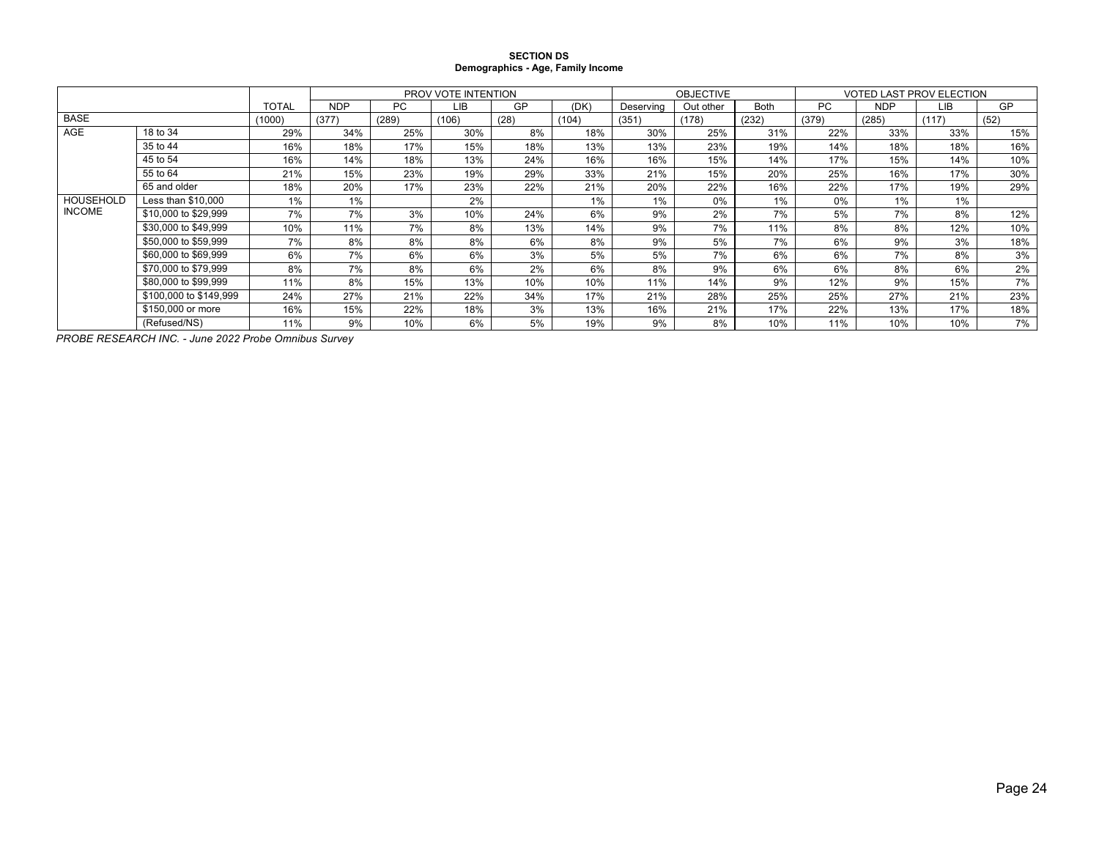#### **SECTION DS Demographics - Age, Family Income**

|                  |                        |              |            |       | PROV VOTE INTENTION |      |       |           | <b>OBJECTIVE</b> |             | <b>VOTED LAST PROV ELECTION</b> |            |       |      |
|------------------|------------------------|--------------|------------|-------|---------------------|------|-------|-----------|------------------|-------------|---------------------------------|------------|-------|------|
|                  |                        | <b>TOTAL</b> | <b>NDP</b> | PC    | LIB                 | GP   | (DK)  | Deserving | Out other        | <b>Both</b> | <b>PC</b>                       | <b>NDP</b> | LIB.  | GP   |
| <b>BASE</b>      |                        | (1000)       | (377)      | (289) | (106)               | (28) | (104) | (351)     | (178)            | (232)       | (379)                           | (285)      | (117) | (52) |
| <b>AGE</b>       | 18 to 34               | 29%          | 34%        | 25%   | 30%                 | 8%   | 18%   | 30%       | 25%              | 31%         | 22%                             | 33%        | 33%   | 15%  |
|                  | 35 to 44               | 16%          | 18%        | 17%   | 15%                 | 18%  | 13%   | 13%       | 23%              | 19%         | 14%                             | 18%        | 18%   | 16%  |
|                  | 45 to 54               | 16%          | 14%        | 18%   | 13%                 | 24%  | 16%   | 16%       | 15%              | 14%         | 17%                             | 15%        | 14%   | 10%  |
|                  | 55 to 64               | 21%          | 15%        | 23%   | 19%                 | 29%  | 33%   | 21%       | 15%              | 20%         | 25%                             | 16%        | 17%   | 30%  |
|                  | 65 and older           | 18%          | 20%        | 17%   | 23%                 | 22%  | 21%   | 20%       | 22%              | 16%         | 22%                             | 17%        | 19%   | 29%  |
| <b>HOUSEHOLD</b> | Less than \$10.000     | 1%           | 1%         |       | 2%                  |      | 1%    | $1\%$     | 0%               | $1\%$       | $0\%$                           | 1%         | $1\%$ |      |
| <b>INCOME</b>    | \$10,000 to \$29,999   | 7%           | 7%         | 3%    | 10%                 | 24%  | 6%    | 9%        | 2%               | 7%          | 5%                              | 7%         | 8%    | 12%  |
|                  | \$30,000 to \$49,999   | 10%          | 11%        | 7%    | 8%                  | 13%  | 14%   | 9%        | 7%               | 11%         | 8%                              | 8%         | 12%   | 10%  |
|                  | \$50,000 to \$59,999   | 7%           | 8%         | 8%    | 8%                  | 6%   | 8%    | 9%        | 5%               | 7%          | 6%                              | 9%         | 3%    | 18%  |
|                  | \$60,000 to \$69,999   | 6%           | 7%         | 6%    | 6%                  | 3%   | 5%    | 5%        | 7%               | 6%          | 6%                              | 7%         | 8%    | 3%   |
|                  | \$70,000 to \$79.999   | 8%           | 7%         | 8%    | 6%                  | 2%   | 6%    | 8%        | 9%               | 6%          | 6%                              | 8%         | 6%    | 2%   |
|                  | \$80,000 to \$99,999   | 11%          | 8%         | 15%   | 13%                 | 10%  | 10%   | 11%       | 14%              | 9%          | 12%                             | 9%         | 15%   | 7%   |
|                  | \$100,000 to \$149,999 | 24%          | 27%        | 21%   | 22%                 | 34%  | 17%   | 21%       | 28%              | 25%         | 25%                             | 27%        | 21%   | 23%  |
|                  | \$150,000 or more      | 16%          | 15%        | 22%   | 18%                 | 3%   | 13%   | 16%       | 21%              | 17%         | 22%                             | 13%        | 17%   | 18%  |
|                  | (Refused/NS)           | 11%          | 9%         | 10%   | 6%                  | 5%   | 19%   | 9%        | 8%               | 10%         | 11%                             | 10%        | 10%   | 7%   |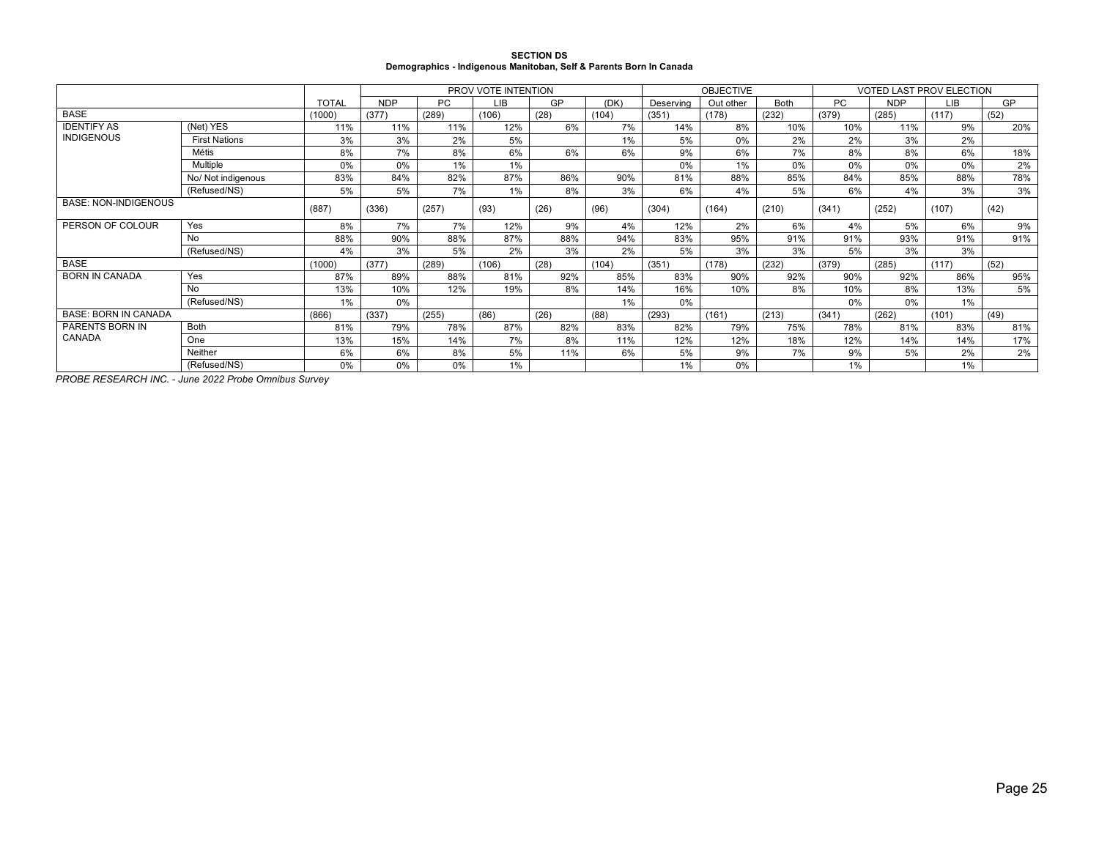| <b>SECTION DS</b>                                                  |
|--------------------------------------------------------------------|
| Demographics - Indigenous Manitoban, Self & Parents Born In Canada |

|                             |                      |              | PROV VOTE INTENTION |           |       |      | <b>OBJECTIVE</b> |           | <b>VOTED LAST PROV ELECTION</b> |             |           |       |       |      |
|-----------------------------|----------------------|--------------|---------------------|-----------|-------|------|------------------|-----------|---------------------------------|-------------|-----------|-------|-------|------|
|                             |                      | <b>TOTAL</b> | <b>NDP</b>          | <b>PC</b> | LIB   | GP   | (DK)             | Deserving | Out other                       | <b>Both</b> | <b>PC</b> | NDP   | LIB   | GP   |
| <b>BASE</b>                 |                      | (1000)       | (377)               | (289)     | (106) | (28) | (104)            | (351)     | (178)                           | (232)       | (379)     | (285) | (117) | (52) |
| <b>IDENTIFY AS</b>          | (Net) YES            | 11%          | 11%                 | 11%       | 12%   | 6%   | 7%               | 14%       | 8%                              | 10%         | 10%       | 11%   | 9%    | 20%  |
| <b>INDIGENOUS</b>           | <b>First Nations</b> | 3%           | 3%                  | 2%        | 5%    |      | 1%               | 5%        | 0%                              | 2%          | 2%        | 3%    | 2%    |      |
|                             | Métis                | 8%           | 7%                  | 8%        | 6%    | 6%   | 6%               | 9%        | 6%                              | 7%          | 8%        | 8%    | 6%    | 18%  |
|                             | Multiple             | 0%           | 0%                  | 1%        | 1%    |      |                  | 0%        | 1%                              | 0%          | 0%        | 0%    | 0%    | 2%   |
|                             | No/ Not indigenous   | 83%          | 84%                 | 82%       | 87%   | 86%  | 90%              | 81%       | 88%                             | 85%         | 84%       | 85%   | 88%   | 78%  |
|                             | (Refused/NS)         | 5%           | 5%                  | 7%        | 1%    | 8%   | 3%               | 6%        | 4%                              | 5%          | 6%        | 4%    | 3%    | 3%   |
| <b>BASE: NON-INDIGENOUS</b> |                      | (887)        | (336)               | (257)     | (93)  | (26) | (96)             | (304)     | (164)                           | (210)       | (341)     | (252) | (107) | (42) |
| PERSON OF COLOUR            | Yes                  | 8%           | 7%                  | 7%        | 12%   | 9%   | 4%               | 12%       | 2%                              | 6%          | 4%        | 5%    | 6%    | 9%   |
|                             | No                   | 88%          | 90%                 | 88%       | 87%   | 88%  | 94%              | 83%       | 95%                             | 91%         | 91%       | 93%   | 91%   | 91%  |
|                             | (Refused/NS)         | 4%           | 3%                  | 5%        | 2%    | 3%   | 2%               | 5%        | 3%                              | 3%          | 5%        | 3%    | 3%    |      |
| <b>BASE</b>                 |                      | (1000)       | (377)               | (289)     | (106) | (28) | (104)            | (351)     | (178)                           | (232)       | (379)     | (285) | (117) | (52) |
| <b>BORN IN CANADA</b>       | Yes                  | 87%          | 89%                 | 88%       | 81%   | 92%  | 85%              | 83%       | 90%                             | 92%         | 90%       | 92%   | 86%   | 95%  |
|                             | No                   | 13%          | 10%                 | 12%       | 19%   | 8%   | 14%              | 16%       | 10%                             | 8%          | 10%       | 8%    | 13%   | 5%   |
|                             | (Refused/NS)         | $1\%$        | 0%                  |           |       |      | 1%               | 0%        |                                 |             | 0%        | 0%    | 1%    |      |
| <b>BASE: BORN IN CANADA</b> |                      | (866)        | (337)               | (255)     | (86)  | (26) | (88)             | (293)     | (161)                           | (213)       | (341)     | (262) | (101) | (49) |
| PARENTS BORN IN             | <b>Both</b>          | 81%          | 79%                 | 78%       | 87%   | 82%  | 83%              | 82%       | 79%                             | 75%         | 78%       | 81%   | 83%   | 81%  |
| CANADA                      | One                  | 13%          | 15%                 | 14%       | 7%    | 8%   | 11%              | 12%       | 12%                             | 18%         | 12%       | 14%   | 14%   | 17%  |
|                             | Neither              | 6%           | 6%                  | 8%        | 5%    | 11%  | 6%               | 5%        | 9%                              | 7%          | 9%        | 5%    | 2%    | 2%   |
|                             | (Refused/NS)         | 0%           | 0%                  | $0\%$     | 1%    |      |                  | 1%        | 0%                              |             | 1%        |       | 1%    |      |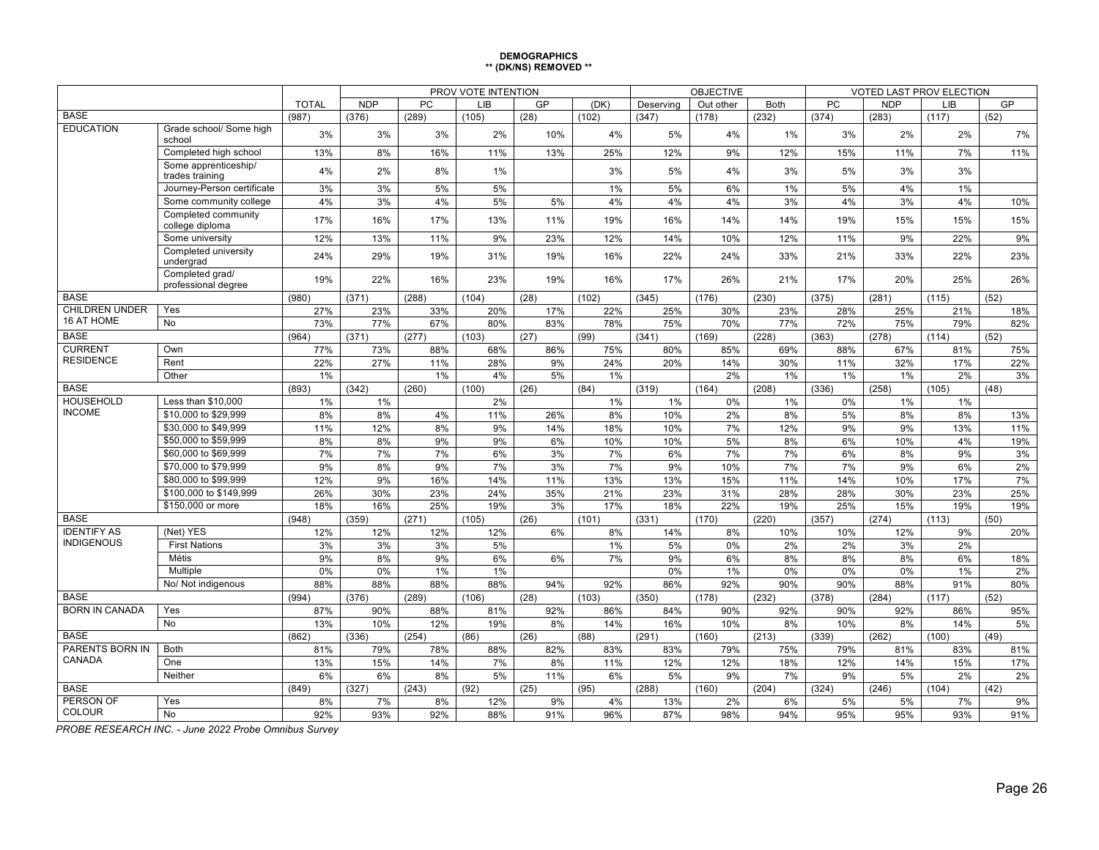#### **DEMOGRAPHICS \*\* (DK/NS) REMOVED \*\***

|                                   |                                         |              |            |          | PROV VOTE INTENTION |      |          |           | <b>OBJECTIVE</b> |             | <b>VOTED LAST PROV ELECTION</b> |            |          |           |
|-----------------------------------|-----------------------------------------|--------------|------------|----------|---------------------|------|----------|-----------|------------------|-------------|---------------------------------|------------|----------|-----------|
|                                   |                                         | <b>TOTAL</b> | <b>NDP</b> | PC       | LIB                 | GP   | (DK)     | Deserving | Out other        | <b>Both</b> | PC                              | <b>NDP</b> | LIB      | GP        |
| <b>BASE</b>                       |                                         | (987)        | (376)      | (289)    | (105)               | (28) | (102)    | (347)     | (178)            | (232)       | (374)                           | (283)      | (117)    | (52)      |
| <b>EDUCATION</b>                  | Grade school/ Some high<br>school       | 3%           | 3%         | 3%       | 2%                  | 10%  | 4%       | 5%        | 4%               | 1%          | 3%                              | 2%         | 2%       | 7%        |
|                                   | Completed high school                   | 13%          | 8%         | 16%      | 11%                 | 13%  | 25%      | 12%       | 9%               | 12%         | 15%                             | 11%        | 7%       | 11%       |
|                                   | Some apprenticeship/<br>trades training | 4%           | 2%         | 8%       | 1%                  |      | 3%       | 5%        | 4%               | 3%          | 5%                              | 3%         | 3%       |           |
|                                   | Journey-Person certificate              | 3%           | 3%         | 5%       | 5%                  |      | 1%       | 5%        | 6%               | 1%          | 5%                              | 4%         | 1%       |           |
|                                   | Some community college                  | 4%           | 3%         | 4%       | 5%                  | 5%   | 4%       | 4%        | 4%               | 3%          | 4%                              | 3%         | 4%       | 10%       |
|                                   | Completed community<br>college diploma  | 17%          | 16%        | 17%      | 13%                 | 11%  | 19%      | 16%       | 14%              | 14%         | 19%                             | 15%        | 15%      | 15%       |
|                                   | Some university                         | 12%          | 13%        | 11%      | 9%                  | 23%  | 12%      | 14%       | 10%              | 12%         | 11%                             | 9%         | 22%      | 9%        |
|                                   | Completed university<br>undergrad       | 24%          | 29%        | 19%      | 31%                 | 19%  | 16%      | 22%       | 24%              | 33%         | 21%                             | 33%        | 22%      | 23%       |
|                                   | Completed grad/<br>professional degree  | 19%          | 22%        | 16%      | 23%                 | 19%  | 16%      | 17%       | 26%              | 21%         | 17%                             | 20%        | 25%      | 26%       |
| <b>BASE</b>                       |                                         | (980)        | (371)      | (288)    | (104)               | (28) | (102)    | (345)     | (176)            | (230)       | (375)                           | (281)      | (115)    | (52)      |
| <b>CHILDREN UNDER</b>             | Yes                                     | 27%          | 23%        | 33%      | 20%                 | 17%  | 22%      | 25%       | 30%              | 23%         | 28%                             | 25%        | 21%      | 18%       |
| 16 AT HOME                        | No                                      | 73%          | 77%        | 67%      | 80%                 | 83%  | 78%      | 75%       | 70%              | 77%         | 72%                             | 75%        | 79%      | 82%       |
| <b>BASE</b>                       |                                         | (964)        | (371)      | (277)    | (103)               | (27) | (99)     | (341)     | (169)            | (228)       | (363)                           | (278)      | (114)    | (52)      |
| <b>CURRENT</b>                    | Own                                     | 77%          | 73%        | 88%      | 68%                 | 86%  | 75%      | 80%       | 85%              | 69%         | 88%                             | 67%        | 81%      | 75%       |
| <b>RESIDENCE</b>                  | Rent                                    | 22%          | 27%        | 11%      | 28%                 | 9%   | 24%      | 20%       | 14%              | 30%         | 11%                             | 32%        | 17%      | 22%       |
|                                   | Other                                   | 1%           |            | 1%       | 4%                  | 5%   | 1%       |           | 2%               | 1%          | 1%                              | $1\%$      | 2%       | 3%        |
| <b>BASE</b>                       |                                         | (893)        | (342)      | (260)    | (100)               | (26) | (84)     | (319)     | (164)            | (208)       | (336)                           | (258)      | (105)    | (48)      |
| <b>HOUSEHOLD</b>                  | Less than \$10,000                      | 1%           | 1%         |          | 2%                  |      | 1%       | 1%        | $0\%$            | 1%          | 0%                              | 1%         | $1\%$    |           |
| <b>INCOME</b>                     | \$10,000 to \$29,999                    | 8%           | 8%         | 4%       | 11%                 | 26%  | 8%       | 10%       | 2%               | 8%          | 5%                              | 8%         | 8%       | 13%       |
|                                   | \$30,000 to \$49.999                    | 11%          | 12%        | 8%       | 9%                  | 14%  | 18%      | 10%       | 7%               | 12%         | 9%                              | 9%         | 13%      | 11%       |
|                                   | \$50,000 to \$59,999                    | 8%           | 8%         | 9%       | 9%                  | 6%   | 10%      | 10%       | 5%               | 8%          | 6%                              | 10%        | 4%       | 19%       |
|                                   | \$60,000 to \$69,999                    | 7%           | 7%         | 7%       | 6%                  | 3%   | 7%       | 6%        | 7%               | 7%          | 6%                              | 8%         | 9%       | 3%        |
|                                   | \$70,000 to \$79,999                    | 9%           | 8%         | 9%       | 7%                  | 3%   | 7%       | 9%        | 10%              | 7%          | 7%                              | 9%         | 6%       | $2\%$     |
|                                   | \$80,000 to \$99,999                    | 12%          | 9%         | 16%      | 14%                 | 11%  | 13%      | 13%       | 15%              | 11%         | 14%                             | 10%        | 17%      | 7%        |
|                                   | \$100,000 to \$149,999                  | 26%          | 30%        | 23%      | 24%                 | 35%  | 21%      | 23%       | 31%              | 28%         | 28%                             | 30%        | 23%      | 25%       |
|                                   | \$150,000 or more                       | 18%          | 16%        | 25%      | 19%                 | 3%   | 17%      | 18%       | 22%              | 19%         | 25%                             | 15%        | 19%      | 19%       |
| <b>BASE</b><br><b>IDENTIFY AS</b> | (Net) YES                               | (948)        | (359)      | (271)    | (105)               | (26) | (101)    | (331)     | (170)            | (220)       | (357)                           | (274)      | (113)    | (50)      |
| <b>INDIGENOUS</b>                 | <b>First Nations</b>                    | 12%          | 12%        | 12%      | 12%                 | 6%   | 8%       | 14%       | 8%               | 10%         | 10%                             | 12%        | 9%<br>2% | 20%       |
|                                   | <b>Métis</b>                            | 3%<br>9%     | 3%<br>8%   | 3%<br>9% | 5%<br>6%            | 6%   | 1%<br>7% | 5%<br>9%  | $0\%$<br>6%      | 2%<br>8%    | 2%<br>8%                        | 3%<br>8%   | 6%       |           |
|                                   | Multiple                                | 0%           | 0%         | 1%       | 1%                  |      |          | 0%        | 1%               | 0%          | 0%                              | 0%         | 1%       | 18%<br>2% |
|                                   | No/ Not indigenous                      | 88%          | 88%        | 88%      | 88%                 | 94%  | 92%      | 86%       | 92%              | 90%         | 90%                             | 88%        | 91%      | 80%       |
| <b>BASE</b>                       |                                         | (994)        | (376)      | (289)    | (106)               | (28) | (103)    | (350)     | (178)            | (232)       | (378)                           | (284)      | (117)    | (52)      |
| <b>BORN IN CANADA</b>             | Yes                                     | 87%          | 90%        | 88%      | 81%                 | 92%  | 86%      | 84%       | 90%              | 92%         | 90%                             | 92%        | 86%      | 95%       |
|                                   | <b>No</b>                               | 13%          | 10%        | 12%      | 19%                 | 8%   | 14%      | 16%       | 10%              | 8%          | 10%                             | 8%         | 14%      | 5%        |
| <b>BASE</b>                       |                                         | (862)        | (336)      | (254)    | (86)                | (26) | (88)     | (291)     | (160)            | (213)       | (339)                           | (262)      | (100)    | (49)      |
| <b>PARENTS BORN IN</b>            | <b>Both</b>                             | 81%          | 79%        | 78%      | 88%                 | 82%  | 83%      | 83%       | 79%              | 75%         | 79%                             | 81%        | 83%      | 81%       |
| CANADA                            | One                                     | 13%          | 15%        | 14%      | 7%                  | 8%   | 11%      | 12%       | 12%              | 18%         | 12%                             | 14%        | 15%      | 17%       |
|                                   | Neither                                 | 6%           | 6%         | 8%       | 5%                  | 11%  | 6%       | 5%        | 9%               | 7%          | 9%                              | 5%         | 2%       | 2%        |
| <b>BASE</b>                       |                                         | (849)        | (327)      | (243)    | (92)                | (25) | (95)     | (288)     | (160)            | (204)       | (324)                           | (246)      | (104)    | (42)      |
| PERSON OF                         | Yes                                     | 8%           | 7%         | 8%       | 12%                 | 9%   | 4%       | 13%       | 2%               | 6%          | 5%                              | 5%         | 7%       | 9%        |
| <b>COLOUR</b><br>No               |                                         | 92%          | 93%        | 92%      | 88%                 | 91%  | 96%      | 87%       | 98%              | 94%         | 95%                             | 95%        | 93%      | 91%       |